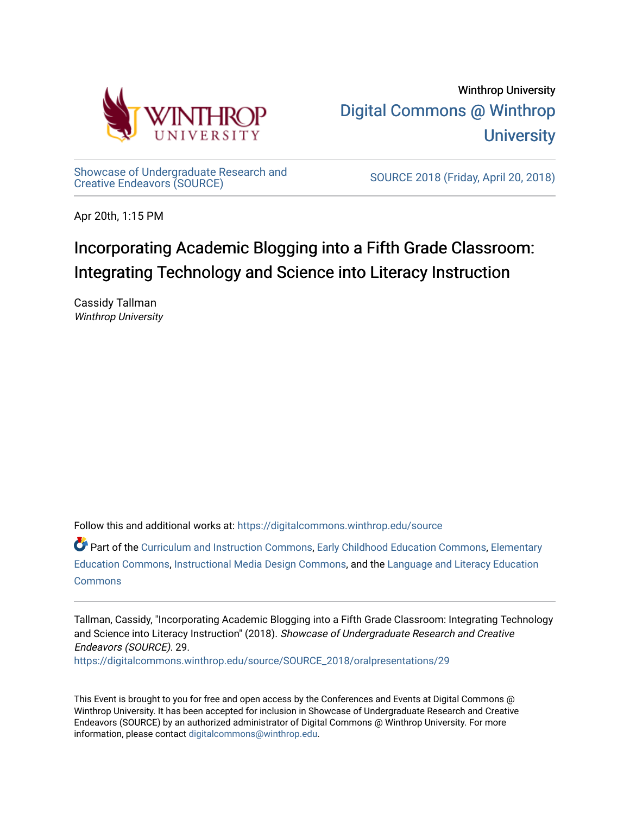

[Showcase of Undergraduate Research and](https://digitalcommons.winthrop.edu/source)<br>Creative Endeavors (SOURCE)

SOURCE 2018 (Friday, April 20, 2018)

Apr 20th, 1:15 PM

# Incorporating Academic Blogging into a Fifth Grade Classroom: Integrating Technology and Science into Literacy Instruction

Cassidy Tallman Winthrop University

Follow this and additional works at: [https://digitalcommons.winthrop.edu/source](https://digitalcommons.winthrop.edu/source?utm_source=digitalcommons.winthrop.edu%2Fsource%2FSOURCE_2018%2Foralpresentations%2F29&utm_medium=PDF&utm_campaign=PDFCoverPages)

Part of the [Curriculum and Instruction Commons,](http://network.bepress.com/hgg/discipline/786?utm_source=digitalcommons.winthrop.edu%2Fsource%2FSOURCE_2018%2Foralpresentations%2F29&utm_medium=PDF&utm_campaign=PDFCoverPages) [Early Childhood Education Commons,](http://network.bepress.com/hgg/discipline/1377?utm_source=digitalcommons.winthrop.edu%2Fsource%2FSOURCE_2018%2Foralpresentations%2F29&utm_medium=PDF&utm_campaign=PDFCoverPages) [Elementary](http://network.bepress.com/hgg/discipline/1378?utm_source=digitalcommons.winthrop.edu%2Fsource%2FSOURCE_2018%2Foralpresentations%2F29&utm_medium=PDF&utm_campaign=PDFCoverPages) [Education Commons,](http://network.bepress.com/hgg/discipline/1378?utm_source=digitalcommons.winthrop.edu%2Fsource%2FSOURCE_2018%2Foralpresentations%2F29&utm_medium=PDF&utm_campaign=PDFCoverPages) [Instructional Media Design Commons,](http://network.bepress.com/hgg/discipline/795?utm_source=digitalcommons.winthrop.edu%2Fsource%2FSOURCE_2018%2Foralpresentations%2F29&utm_medium=PDF&utm_campaign=PDFCoverPages) and the [Language and Literacy Education](http://network.bepress.com/hgg/discipline/1380?utm_source=digitalcommons.winthrop.edu%2Fsource%2FSOURCE_2018%2Foralpresentations%2F29&utm_medium=PDF&utm_campaign=PDFCoverPages)  **[Commons](http://network.bepress.com/hgg/discipline/1380?utm_source=digitalcommons.winthrop.edu%2Fsource%2FSOURCE_2018%2Foralpresentations%2F29&utm_medium=PDF&utm_campaign=PDFCoverPages)** 

Tallman, Cassidy, "Incorporating Academic Blogging into a Fifth Grade Classroom: Integrating Technology and Science into Literacy Instruction" (2018). Showcase of Undergraduate Research and Creative Endeavors (SOURCE). 29.

[https://digitalcommons.winthrop.edu/source/SOURCE\\_2018/oralpresentations/29](https://digitalcommons.winthrop.edu/source/SOURCE_2018/oralpresentations/29?utm_source=digitalcommons.winthrop.edu%2Fsource%2FSOURCE_2018%2Foralpresentations%2F29&utm_medium=PDF&utm_campaign=PDFCoverPages)

This Event is brought to you for free and open access by the Conferences and Events at Digital Commons @ Winthrop University. It has been accepted for inclusion in Showcase of Undergraduate Research and Creative Endeavors (SOURCE) by an authorized administrator of Digital Commons @ Winthrop University. For more information, please contact [digitalcommons@winthrop.edu.](mailto:digitalcommons@winthrop.edu)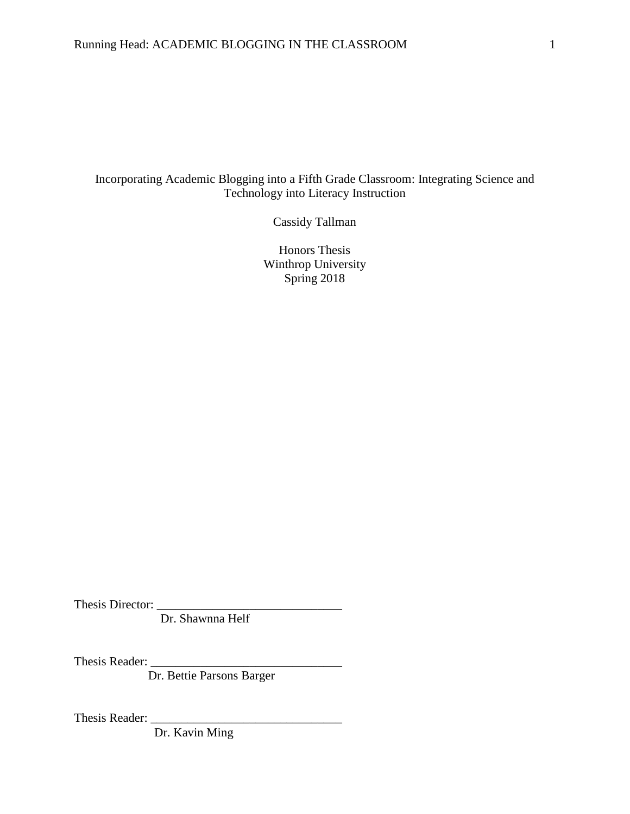# Incorporating Academic Blogging into a Fifth Grade Classroom: Integrating Science and Technology into Literacy Instruction

Cassidy Tallman

Honors Thesis Winthrop University Spring 2018

Thesis Director:

Dr. Shawnna Helf

Thesis Reader: \_\_\_\_\_\_\_\_\_\_\_\_\_\_\_\_\_\_\_\_\_\_\_\_\_\_\_\_\_\_\_

Dr. Bettie Parsons Barger

Thesis Reader:

Dr. Kavin Ming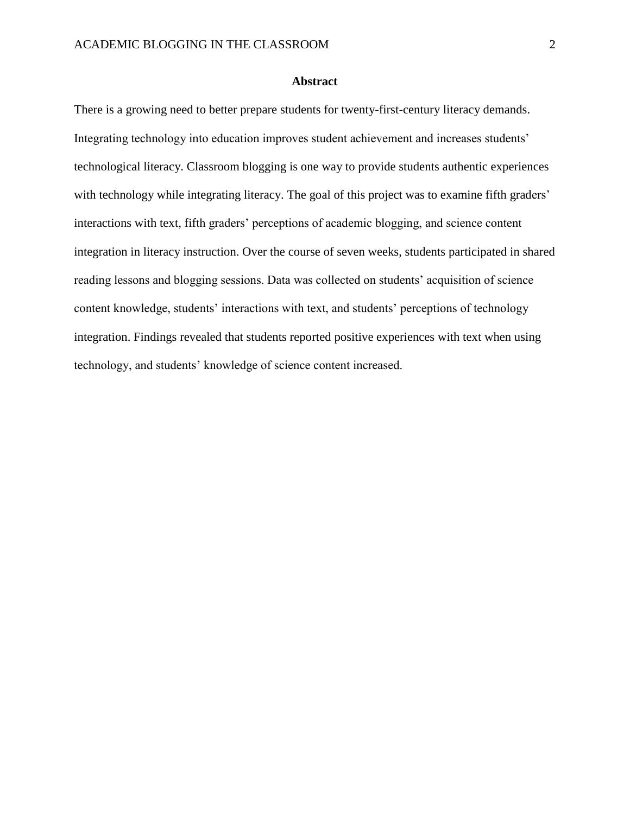#### **Abstract**

There is a growing need to better prepare students for twenty-first-century literacy demands. Integrating technology into education improves student achievement and increases students' technological literacy. Classroom blogging is one way to provide students authentic experiences with technology while integrating literacy. The goal of this project was to examine fifth graders' interactions with text, fifth graders' perceptions of academic blogging, and science content integration in literacy instruction. Over the course of seven weeks, students participated in shared reading lessons and blogging sessions. Data was collected on students' acquisition of science content knowledge, students' interactions with text, and students' perceptions of technology integration. Findings revealed that students reported positive experiences with text when using technology, and students' knowledge of science content increased.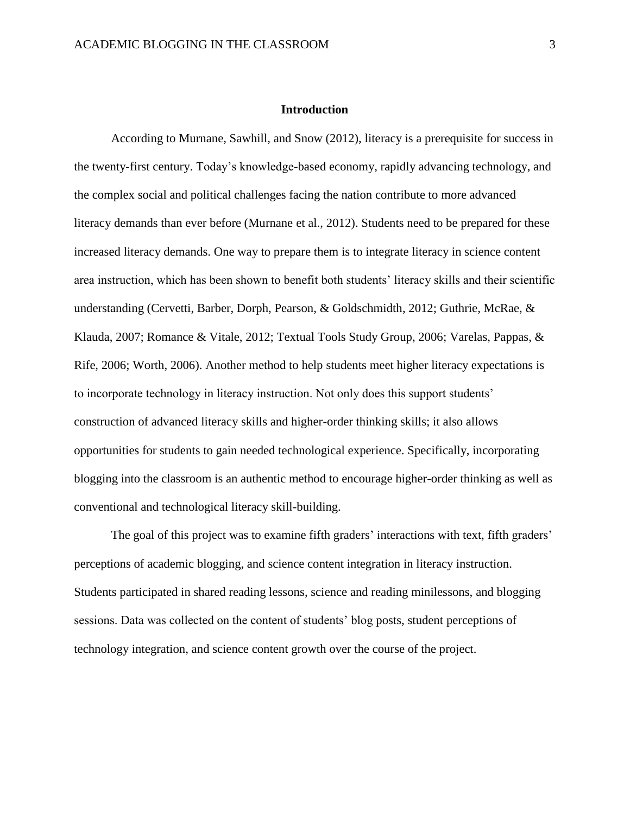### **Introduction**

According to Murnane, Sawhill, and Snow (2012), literacy is a prerequisite for success in the twenty-first century. Today's knowledge-based economy, rapidly advancing technology, and the complex social and political challenges facing the nation contribute to more advanced literacy demands than ever before (Murnane et al., 2012). Students need to be prepared for these increased literacy demands. One way to prepare them is to integrate literacy in science content area instruction, which has been shown to benefit both students' literacy skills and their scientific understanding (Cervetti, Barber, Dorph, Pearson, & Goldschmidth, 2012; Guthrie, McRae, & Klauda, 2007; Romance & Vitale, 2012; Textual Tools Study Group, 2006; Varelas, Pappas, & Rife, 2006; Worth, 2006). Another method to help students meet higher literacy expectations is to incorporate technology in literacy instruction. Not only does this support students' construction of advanced literacy skills and higher-order thinking skills; it also allows opportunities for students to gain needed technological experience. Specifically, incorporating blogging into the classroom is an authentic method to encourage higher-order thinking as well as conventional and technological literacy skill-building.

The goal of this project was to examine fifth graders' interactions with text, fifth graders' perceptions of academic blogging, and science content integration in literacy instruction. Students participated in shared reading lessons, science and reading minilessons, and blogging sessions. Data was collected on the content of students' blog posts, student perceptions of technology integration, and science content growth over the course of the project.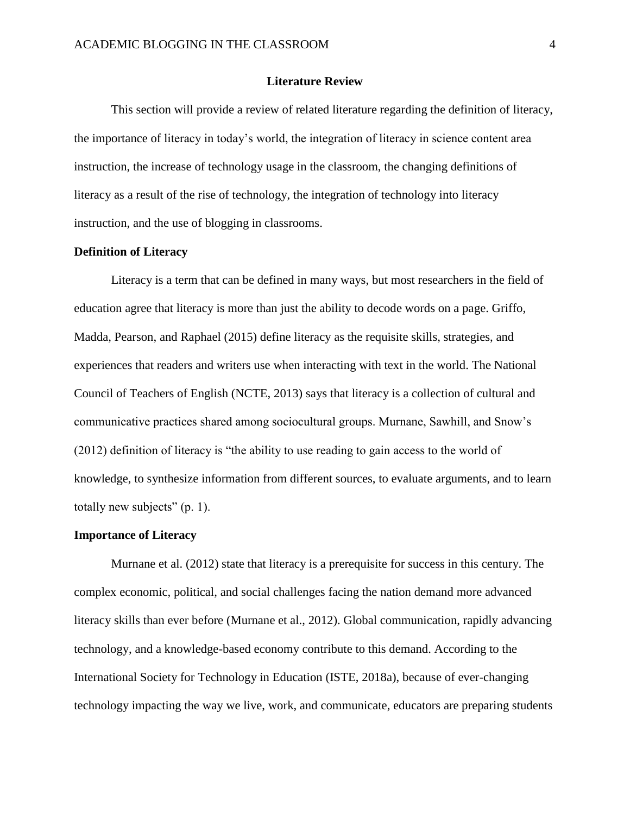#### **Literature Review**

This section will provide a review of related literature regarding the definition of literacy, the importance of literacy in today's world, the integration of literacy in science content area instruction, the increase of technology usage in the classroom, the changing definitions of literacy as a result of the rise of technology, the integration of technology into literacy instruction, and the use of blogging in classrooms.

#### **Definition of Literacy**

Literacy is a term that can be defined in many ways, but most researchers in the field of education agree that literacy is more than just the ability to decode words on a page. Griffo, Madda, Pearson, and Raphael (2015) define literacy as the requisite skills, strategies, and experiences that readers and writers use when interacting with text in the world. The National Council of Teachers of English (NCTE, 2013) says that literacy is a collection of cultural and communicative practices shared among sociocultural groups. Murnane, Sawhill, and Snow's (2012) definition of literacy is "the ability to use reading to gain access to the world of knowledge, to synthesize information from different sources, to evaluate arguments, and to learn totally new subjects" (p. 1).

#### **Importance of Literacy**

Murnane et al. (2012) state that literacy is a prerequisite for success in this century. The complex economic, political, and social challenges facing the nation demand more advanced literacy skills than ever before (Murnane et al., 2012). Global communication, rapidly advancing technology, and a knowledge-based economy contribute to this demand. According to the International Society for Technology in Education (ISTE, 2018a), because of ever-changing technology impacting the way we live, work, and communicate, educators are preparing students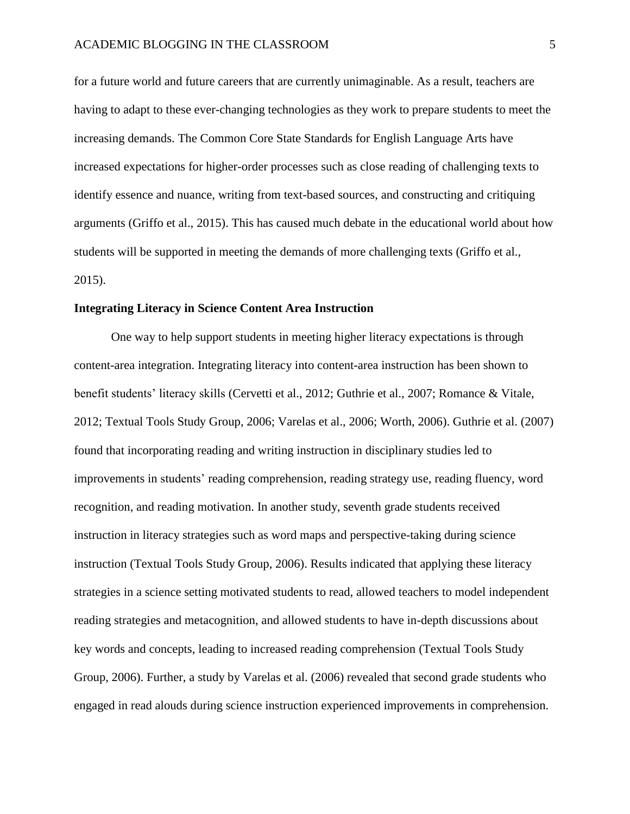for a future world and future careers that are currently unimaginable. As a result, teachers are having to adapt to these ever-changing technologies as they work to prepare students to meet the increasing demands. The Common Core State Standards for English Language Arts have increased expectations for higher-order processes such as close reading of challenging texts to identify essence and nuance, writing from text-based sources, and constructing and critiquing arguments (Griffo et al., 2015). This has caused much debate in the educational world about how students will be supported in meeting the demands of more challenging texts (Griffo et al., 2015).

#### **Integrating Literacy in Science Content Area Instruction**

One way to help support students in meeting higher literacy expectations is through content-area integration. Integrating literacy into content-area instruction has been shown to benefit students' literacy skills (Cervetti et al., 2012; Guthrie et al., 2007; Romance & Vitale, 2012; Textual Tools Study Group, 2006; Varelas et al., 2006; Worth, 2006). Guthrie et al. (2007) found that incorporating reading and writing instruction in disciplinary studies led to improvements in students' reading comprehension, reading strategy use, reading fluency, word recognition, and reading motivation. In another study, seventh grade students received instruction in literacy strategies such as word maps and perspective-taking during science instruction (Textual Tools Study Group, 2006). Results indicated that applying these literacy strategies in a science setting motivated students to read, allowed teachers to model independent reading strategies and metacognition, and allowed students to have in-depth discussions about key words and concepts, leading to increased reading comprehension (Textual Tools Study Group, 2006). Further, a study by Varelas et al. (2006) revealed that second grade students who engaged in read alouds during science instruction experienced improvements in comprehension.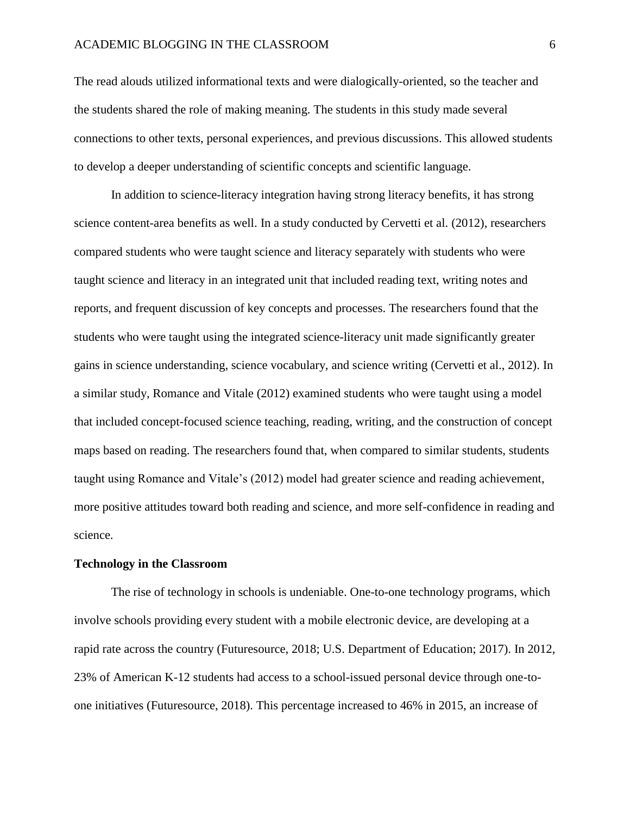#### ACADEMIC BLOGGING IN THE CLASSROOM 6

The read alouds utilized informational texts and were dialogically-oriented, so the teacher and the students shared the role of making meaning. The students in this study made several connections to other texts, personal experiences, and previous discussions. This allowed students to develop a deeper understanding of scientific concepts and scientific language.

In addition to science-literacy integration having strong literacy benefits, it has strong science content-area benefits as well. In a study conducted by Cervetti et al. (2012), researchers compared students who were taught science and literacy separately with students who were taught science and literacy in an integrated unit that included reading text, writing notes and reports, and frequent discussion of key concepts and processes. The researchers found that the students who were taught using the integrated science-literacy unit made significantly greater gains in science understanding, science vocabulary, and science writing (Cervetti et al., 2012). In a similar study, Romance and Vitale (2012) examined students who were taught using a model that included concept-focused science teaching, reading, writing, and the construction of concept maps based on reading. The researchers found that, when compared to similar students, students taught using Romance and Vitale's (2012) model had greater science and reading achievement, more positive attitudes toward both reading and science, and more self-confidence in reading and science.

#### **Technology in the Classroom**

The rise of technology in schools is undeniable. One-to-one technology programs, which involve schools providing every student with a mobile electronic device, are developing at a rapid rate across the country (Futuresource, 2018; U.S. Department of Education; 2017). In 2012, 23% of American K-12 students had access to a school-issued personal device through one-toone initiatives (Futuresource, 2018). This percentage increased to 46% in 2015, an increase of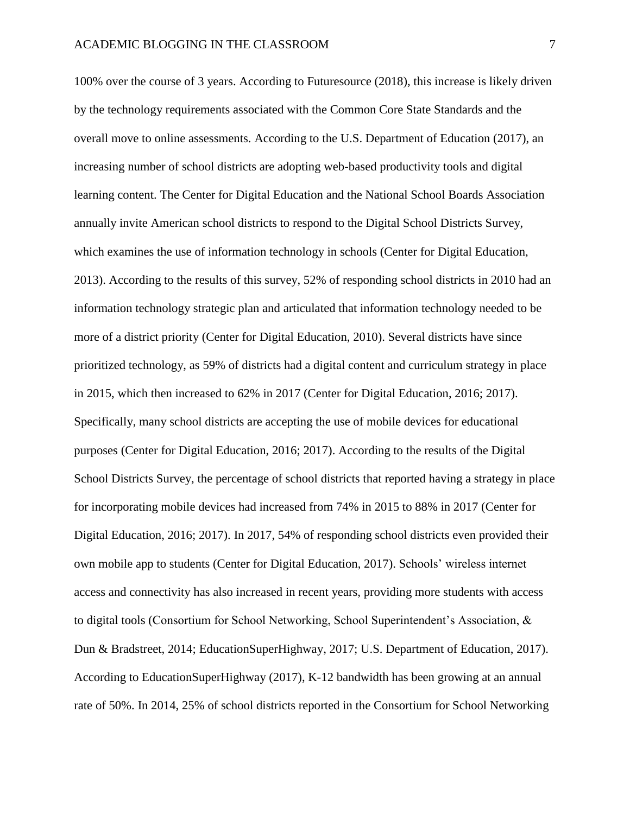100% over the course of 3 years. According to Futuresource (2018), this increase is likely driven by the technology requirements associated with the Common Core State Standards and the overall move to online assessments. According to the U.S. Department of Education (2017), an increasing number of school districts are adopting web-based productivity tools and digital learning content. The Center for Digital Education and the National School Boards Association annually invite American school districts to respond to the Digital School Districts Survey, which examines the use of information technology in schools (Center for Digital Education, 2013). According to the results of this survey, 52% of responding school districts in 2010 had an information technology strategic plan and articulated that information technology needed to be more of a district priority (Center for Digital Education, 2010). Several districts have since prioritized technology, as 59% of districts had a digital content and curriculum strategy in place in 2015, which then increased to 62% in 2017 (Center for Digital Education, 2016; 2017). Specifically, many school districts are accepting the use of mobile devices for educational purposes (Center for Digital Education, 2016; 2017). According to the results of the Digital School Districts Survey, the percentage of school districts that reported having a strategy in place for incorporating mobile devices had increased from 74% in 2015 to 88% in 2017 (Center for Digital Education, 2016; 2017). In 2017, 54% of responding school districts even provided their own mobile app to students (Center for Digital Education, 2017). Schools' wireless internet access and connectivity has also increased in recent years, providing more students with access to digital tools (Consortium for School Networking, School Superintendent's Association, & Dun & Bradstreet, 2014; EducationSuperHighway, 2017; U.S. Department of Education, 2017). According to EducationSuperHighway (2017), K-12 bandwidth has been growing at an annual rate of 50%. In 2014, 25% of school districts reported in the Consortium for School Networking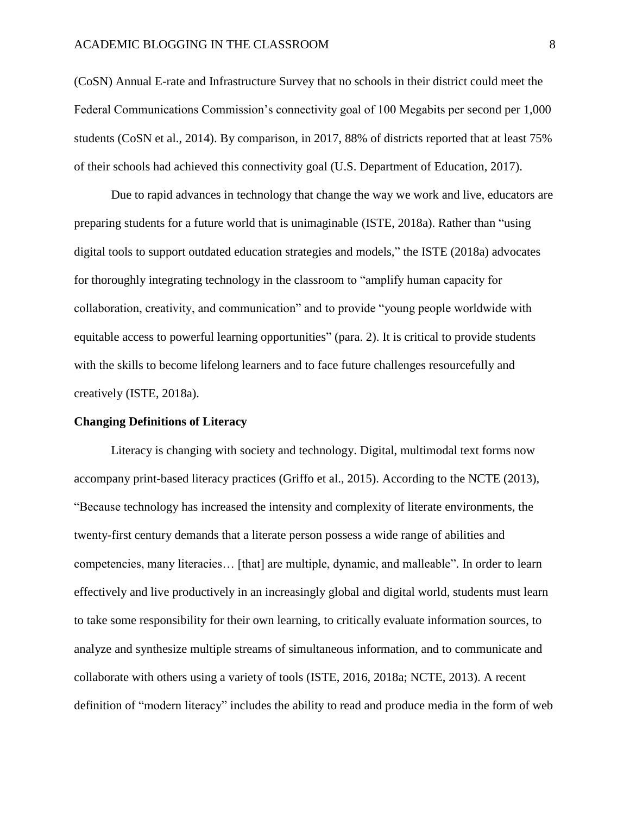(CoSN) Annual E-rate and Infrastructure Survey that no schools in their district could meet the Federal Communications Commission's connectivity goal of 100 Megabits per second per 1,000 students (CoSN et al., 2014). By comparison, in 2017, 88% of districts reported that at least 75% of their schools had achieved this connectivity goal (U.S. Department of Education, 2017).

Due to rapid advances in technology that change the way we work and live, educators are preparing students for a future world that is unimaginable (ISTE, 2018a). Rather than "using digital tools to support outdated education strategies and models," the ISTE (2018a) advocates for thoroughly integrating technology in the classroom to "amplify human capacity for collaboration, creativity, and communication" and to provide "young people worldwide with equitable access to powerful learning opportunities" (para. 2). It is critical to provide students with the skills to become lifelong learners and to face future challenges resourcefully and creatively (ISTE, 2018a).

#### **Changing Definitions of Literacy**

Literacy is changing with society and technology. Digital, multimodal text forms now accompany print-based literacy practices (Griffo et al., 2015). According to the NCTE (2013), "Because technology has increased the intensity and complexity of literate environments, the twenty-first century demands that a literate person possess a wide range of abilities and competencies, many literacies… [that] are multiple, dynamic, and malleable". In order to learn effectively and live productively in an increasingly global and digital world, students must learn to take some responsibility for their own learning, to critically evaluate information sources, to analyze and synthesize multiple streams of simultaneous information, and to communicate and collaborate with others using a variety of tools (ISTE, 2016, 2018a; NCTE, 2013). A recent definition of "modern literacy" includes the ability to read and produce media in the form of web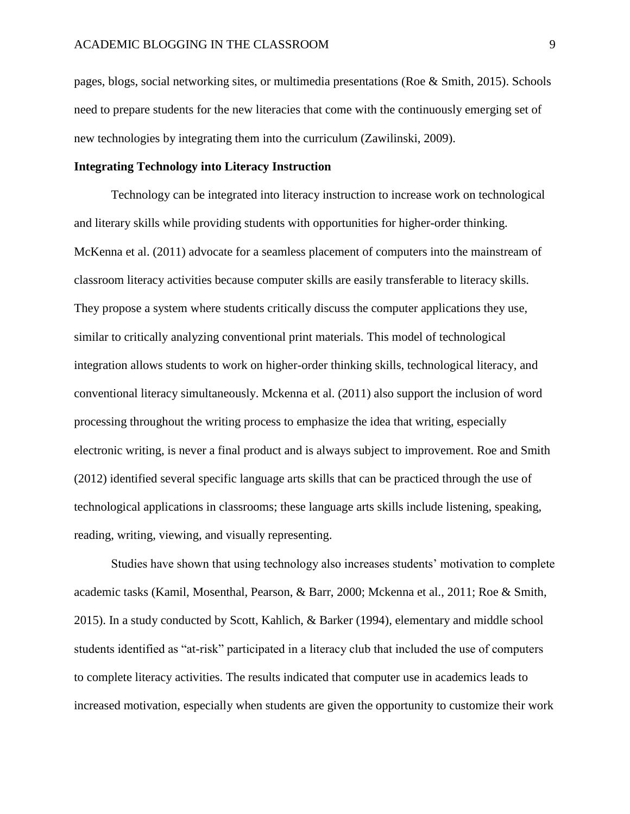pages, blogs, social networking sites, or multimedia presentations (Roe & Smith, 2015). Schools need to prepare students for the new literacies that come with the continuously emerging set of new technologies by integrating them into the curriculum (Zawilinski, 2009).

#### **Integrating Technology into Literacy Instruction**

Technology can be integrated into literacy instruction to increase work on technological and literary skills while providing students with opportunities for higher-order thinking. McKenna et al. (2011) advocate for a seamless placement of computers into the mainstream of classroom literacy activities because computer skills are easily transferable to literacy skills. They propose a system where students critically discuss the computer applications they use, similar to critically analyzing conventional print materials. This model of technological integration allows students to work on higher-order thinking skills, technological literacy, and conventional literacy simultaneously. Mckenna et al. (2011) also support the inclusion of word processing throughout the writing process to emphasize the idea that writing, especially electronic writing, is never a final product and is always subject to improvement. Roe and Smith (2012) identified several specific language arts skills that can be practiced through the use of technological applications in classrooms; these language arts skills include listening, speaking, reading, writing, viewing, and visually representing.

Studies have shown that using technology also increases students' motivation to complete academic tasks (Kamil, Mosenthal, Pearson, & Barr, 2000; Mckenna et al., 2011; Roe & Smith, 2015). In a study conducted by Scott, Kahlich, & Barker (1994), elementary and middle school students identified as "at-risk" participated in a literacy club that included the use of computers to complete literacy activities. The results indicated that computer use in academics leads to increased motivation, especially when students are given the opportunity to customize their work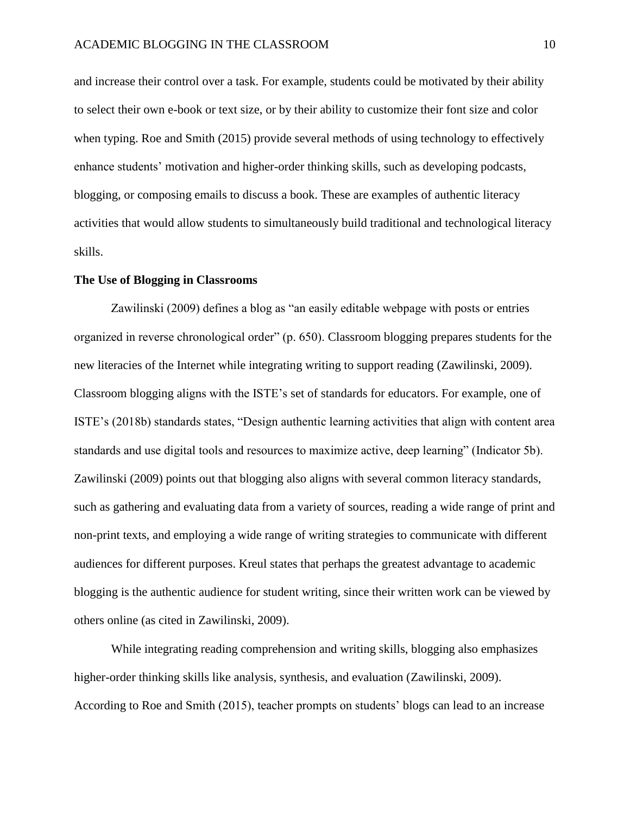and increase their control over a task. For example, students could be motivated by their ability to select their own e-book or text size, or by their ability to customize their font size and color when typing. Roe and Smith (2015) provide several methods of using technology to effectively enhance students' motivation and higher-order thinking skills, such as developing podcasts, blogging, or composing emails to discuss a book. These are examples of authentic literacy activities that would allow students to simultaneously build traditional and technological literacy skills.

#### **The Use of Blogging in Classrooms**

Zawilinski (2009) defines a blog as "an easily editable webpage with posts or entries organized in reverse chronological order" (p. 650). Classroom blogging prepares students for the new literacies of the Internet while integrating writing to support reading (Zawilinski, 2009). Classroom blogging aligns with the ISTE's set of standards for educators. For example, one of ISTE's (2018b) standards states, "Design authentic learning activities that align with content area standards and use digital tools and resources to maximize active, deep learning" (Indicator 5b). Zawilinski (2009) points out that blogging also aligns with several common literacy standards, such as gathering and evaluating data from a variety of sources, reading a wide range of print and non-print texts, and employing a wide range of writing strategies to communicate with different audiences for different purposes. Kreul states that perhaps the greatest advantage to academic blogging is the authentic audience for student writing, since their written work can be viewed by others online (as cited in Zawilinski, 2009).

While integrating reading comprehension and writing skills, blogging also emphasizes higher-order thinking skills like analysis, synthesis, and evaluation (Zawilinski, 2009). According to Roe and Smith (2015), teacher prompts on students' blogs can lead to an increase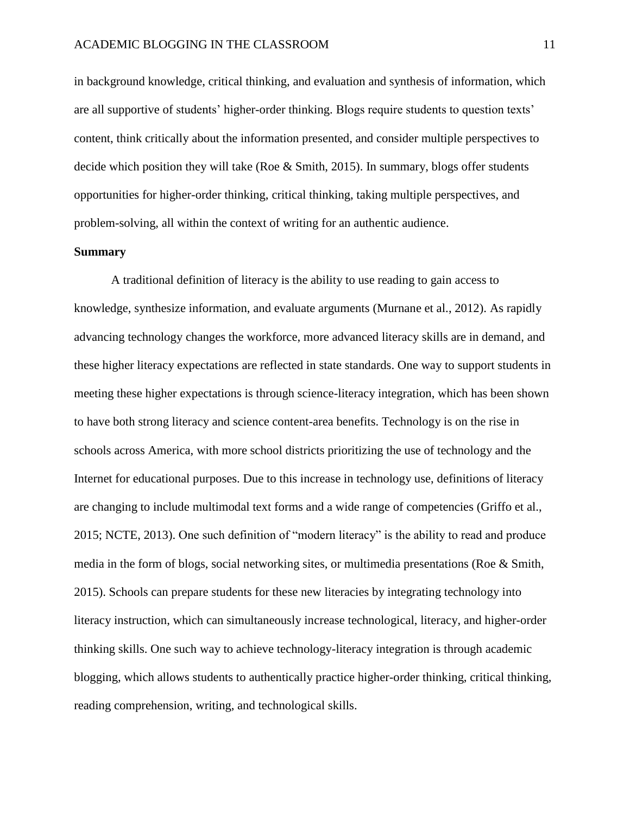in background knowledge, critical thinking, and evaluation and synthesis of information, which are all supportive of students' higher-order thinking. Blogs require students to question texts' content, think critically about the information presented, and consider multiple perspectives to decide which position they will take (Roe & Smith, 2015). In summary, blogs offer students opportunities for higher-order thinking, critical thinking, taking multiple perspectives, and problem-solving, all within the context of writing for an authentic audience.

#### **Summary**

A traditional definition of literacy is the ability to use reading to gain access to knowledge, synthesize information, and evaluate arguments (Murnane et al., 2012). As rapidly advancing technology changes the workforce, more advanced literacy skills are in demand, and these higher literacy expectations are reflected in state standards. One way to support students in meeting these higher expectations is through science-literacy integration, which has been shown to have both strong literacy and science content-area benefits. Technology is on the rise in schools across America, with more school districts prioritizing the use of technology and the Internet for educational purposes. Due to this increase in technology use, definitions of literacy are changing to include multimodal text forms and a wide range of competencies (Griffo et al., 2015; NCTE, 2013). One such definition of "modern literacy" is the ability to read and produce media in the form of blogs, social networking sites, or multimedia presentations (Roe & Smith, 2015). Schools can prepare students for these new literacies by integrating technology into literacy instruction, which can simultaneously increase technological, literacy, and higher-order thinking skills. One such way to achieve technology-literacy integration is through academic blogging, which allows students to authentically practice higher-order thinking, critical thinking, reading comprehension, writing, and technological skills.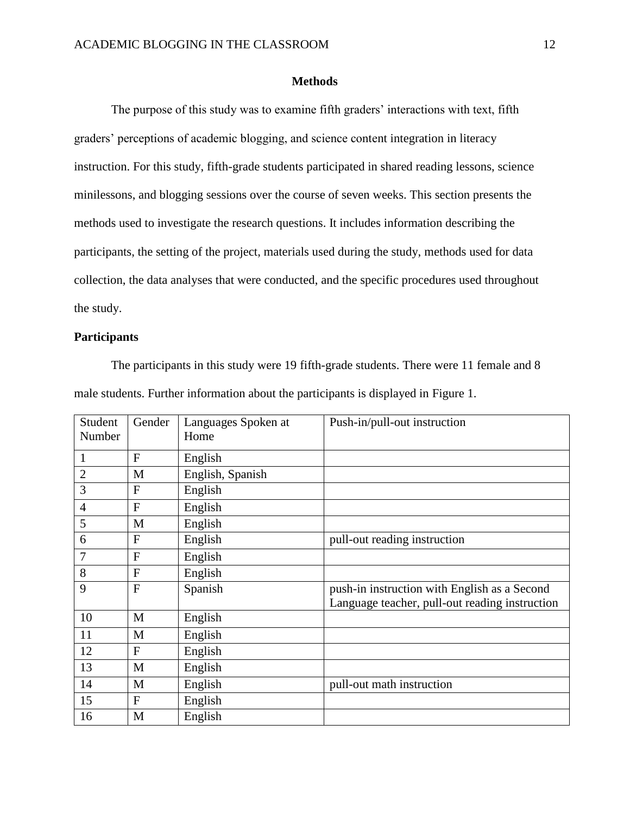#### **Methods**

The purpose of this study was to examine fifth graders' interactions with text, fifth graders' perceptions of academic blogging, and science content integration in literacy instruction. For this study, fifth-grade students participated in shared reading lessons, science minilessons, and blogging sessions over the course of seven weeks. This section presents the methods used to investigate the research questions. It includes information describing the participants, the setting of the project, materials used during the study, methods used for data collection, the data analyses that were conducted, and the specific procedures used throughout the study.

#### **Participants**

The participants in this study were 19 fifth-grade students. There were 11 female and 8 male students. Further information about the participants is displayed in Figure 1.

| Student<br>Number | Gender      | Languages Spoken at<br>Home | Push-in/pull-out instruction                                                                   |
|-------------------|-------------|-----------------------------|------------------------------------------------------------------------------------------------|
| 1                 | $\mathbf F$ | English                     |                                                                                                |
| $\overline{2}$    | M           | English, Spanish            |                                                                                                |
| 3                 | F           | English                     |                                                                                                |
| $\overline{4}$    | F           | English                     |                                                                                                |
| 5                 | M           | English                     |                                                                                                |
| 6                 | F           | English                     | pull-out reading instruction                                                                   |
| 7                 | F           | English                     |                                                                                                |
| 8                 | F           | English                     |                                                                                                |
| 9                 | $\mathbf F$ | Spanish                     | push-in instruction with English as a Second<br>Language teacher, pull-out reading instruction |
| 10                | M           | English                     |                                                                                                |
| 11                | M           | English                     |                                                                                                |
| 12                | F           | English                     |                                                                                                |
| 13                | M           | English                     |                                                                                                |
| 14                | M           | English                     | pull-out math instruction                                                                      |
| 15                | F           | English                     |                                                                                                |
| 16                | M           | English                     |                                                                                                |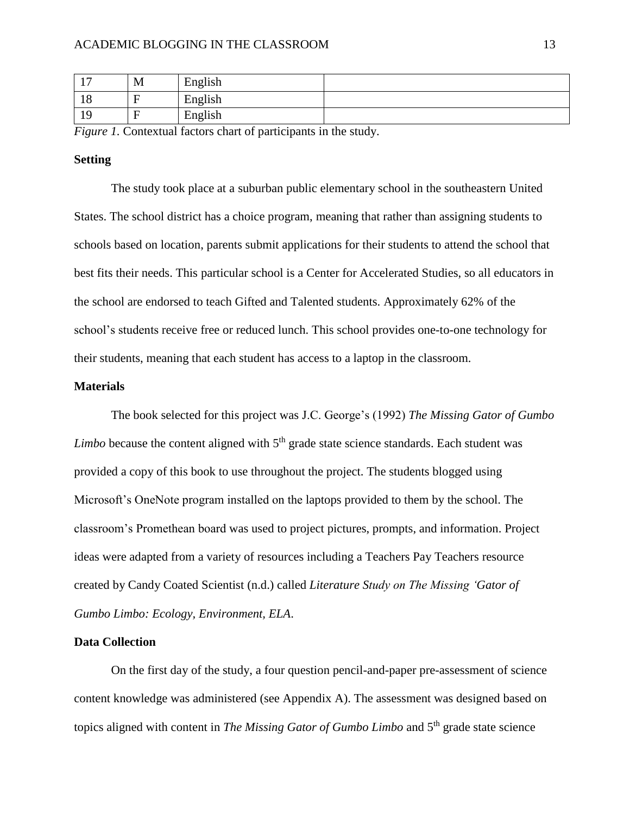| . .<br>. . | M | English |  |
|------------|---|---------|--|
| 1 O<br>10  |   | English |  |
| 10<br>ᆚ    |   | English |  |

*Figure 1.* Contextual factors chart of participants in the study.

#### **Setting**

The study took place at a suburban public elementary school in the southeastern United States. The school district has a choice program, meaning that rather than assigning students to schools based on location, parents submit applications for their students to attend the school that best fits their needs. This particular school is a Center for Accelerated Studies, so all educators in the school are endorsed to teach Gifted and Talented students. Approximately 62% of the school's students receive free or reduced lunch. This school provides one-to-one technology for their students, meaning that each student has access to a laptop in the classroom.

#### **Materials**

The book selected for this project was J.C. George's (1992) *The Missing Gator of Gumbo*  Limbo because the content aligned with 5<sup>th</sup> grade state science standards. Each student was provided a copy of this book to use throughout the project. The students blogged using Microsoft's OneNote program installed on the laptops provided to them by the school. The classroom's Promethean board was used to project pictures, prompts, and information. Project ideas were adapted from a variety of resources including a Teachers Pay Teachers resource created by Candy Coated Scientist (n.d.) called *Literature Study on The Missing 'Gator of Gumbo Limbo: Ecology, Environment, ELA*.

#### **Data Collection**

On the first day of the study, a four question pencil-and-paper pre-assessment of science content knowledge was administered (see Appendix A). The assessment was designed based on topics aligned with content in *The Missing Gator of Gumbo Limbo* and 5<sup>th</sup> grade state science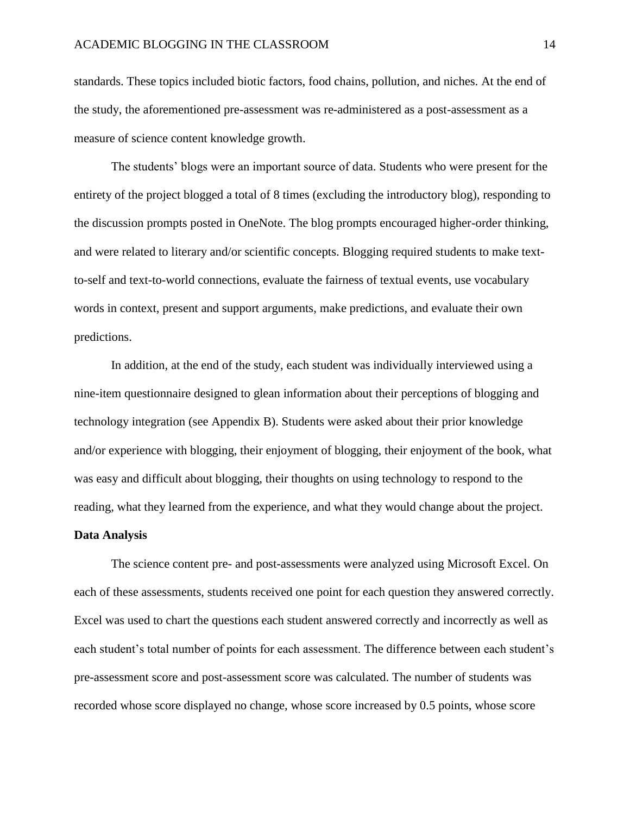standards. These topics included biotic factors, food chains, pollution, and niches. At the end of the study, the aforementioned pre-assessment was re-administered as a post-assessment as a measure of science content knowledge growth.

The students' blogs were an important source of data. Students who were present for the entirety of the project blogged a total of 8 times (excluding the introductory blog), responding to the discussion prompts posted in OneNote. The blog prompts encouraged higher-order thinking, and were related to literary and/or scientific concepts. Blogging required students to make textto-self and text-to-world connections, evaluate the fairness of textual events, use vocabulary words in context, present and support arguments, make predictions, and evaluate their own predictions.

In addition, at the end of the study, each student was individually interviewed using a nine-item questionnaire designed to glean information about their perceptions of blogging and technology integration (see Appendix B). Students were asked about their prior knowledge and/or experience with blogging, their enjoyment of blogging, their enjoyment of the book, what was easy and difficult about blogging, their thoughts on using technology to respond to the reading, what they learned from the experience, and what they would change about the project.

#### **Data Analysis**

The science content pre- and post-assessments were analyzed using Microsoft Excel. On each of these assessments, students received one point for each question they answered correctly. Excel was used to chart the questions each student answered correctly and incorrectly as well as each student's total number of points for each assessment. The difference between each student's pre-assessment score and post-assessment score was calculated. The number of students was recorded whose score displayed no change, whose score increased by 0.5 points, whose score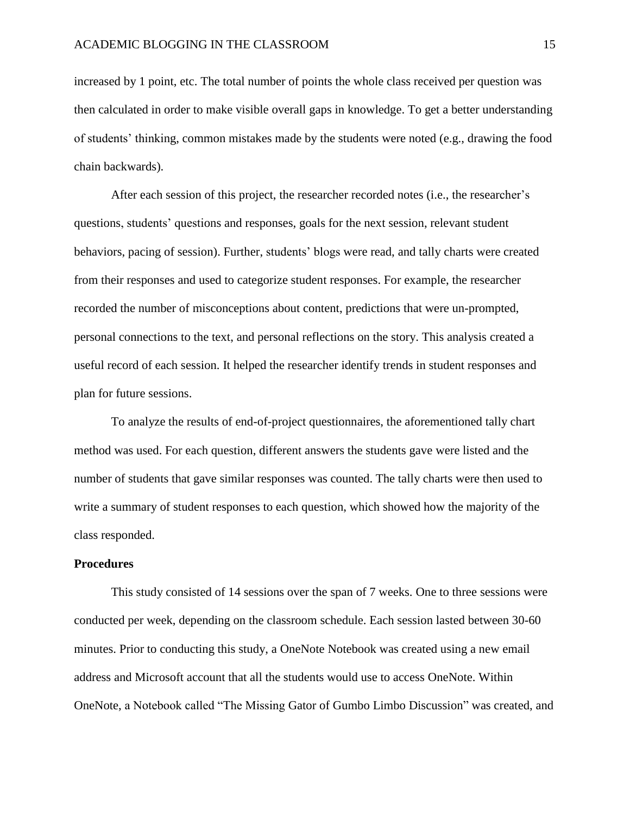increased by 1 point, etc. The total number of points the whole class received per question was then calculated in order to make visible overall gaps in knowledge. To get a better understanding of students' thinking, common mistakes made by the students were noted (e.g., drawing the food chain backwards).

After each session of this project, the researcher recorded notes (i.e., the researcher's questions, students' questions and responses, goals for the next session, relevant student behaviors, pacing of session). Further, students' blogs were read, and tally charts were created from their responses and used to categorize student responses. For example, the researcher recorded the number of misconceptions about content, predictions that were un-prompted, personal connections to the text, and personal reflections on the story. This analysis created a useful record of each session. It helped the researcher identify trends in student responses and plan for future sessions.

To analyze the results of end-of-project questionnaires, the aforementioned tally chart method was used. For each question, different answers the students gave were listed and the number of students that gave similar responses was counted. The tally charts were then used to write a summary of student responses to each question, which showed how the majority of the class responded.

#### **Procedures**

This study consisted of 14 sessions over the span of 7 weeks. One to three sessions were conducted per week, depending on the classroom schedule. Each session lasted between 30-60 minutes. Prior to conducting this study, a OneNote Notebook was created using a new email address and Microsoft account that all the students would use to access OneNote. Within OneNote, a Notebook called "The Missing Gator of Gumbo Limbo Discussion" was created, and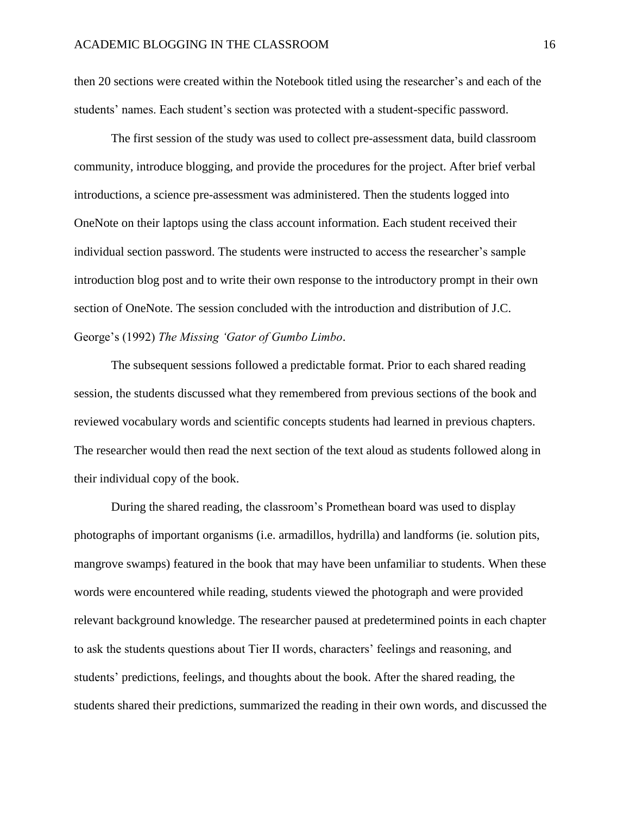then 20 sections were created within the Notebook titled using the researcher's and each of the students' names. Each student's section was protected with a student-specific password.

The first session of the study was used to collect pre-assessment data, build classroom community, introduce blogging, and provide the procedures for the project. After brief verbal introductions, a science pre-assessment was administered. Then the students logged into OneNote on their laptops using the class account information. Each student received their individual section password. The students were instructed to access the researcher's sample introduction blog post and to write their own response to the introductory prompt in their own section of OneNote. The session concluded with the introduction and distribution of J.C. George's (1992) *The Missing 'Gator of Gumbo Limbo*.

The subsequent sessions followed a predictable format. Prior to each shared reading session, the students discussed what they remembered from previous sections of the book and reviewed vocabulary words and scientific concepts students had learned in previous chapters. The researcher would then read the next section of the text aloud as students followed along in their individual copy of the book.

During the shared reading, the classroom's Promethean board was used to display photographs of important organisms (i.e. armadillos, hydrilla) and landforms (ie. solution pits, mangrove swamps) featured in the book that may have been unfamiliar to students. When these words were encountered while reading, students viewed the photograph and were provided relevant background knowledge. The researcher paused at predetermined points in each chapter to ask the students questions about Tier II words, characters' feelings and reasoning, and students' predictions, feelings, and thoughts about the book. After the shared reading, the students shared their predictions, summarized the reading in their own words, and discussed the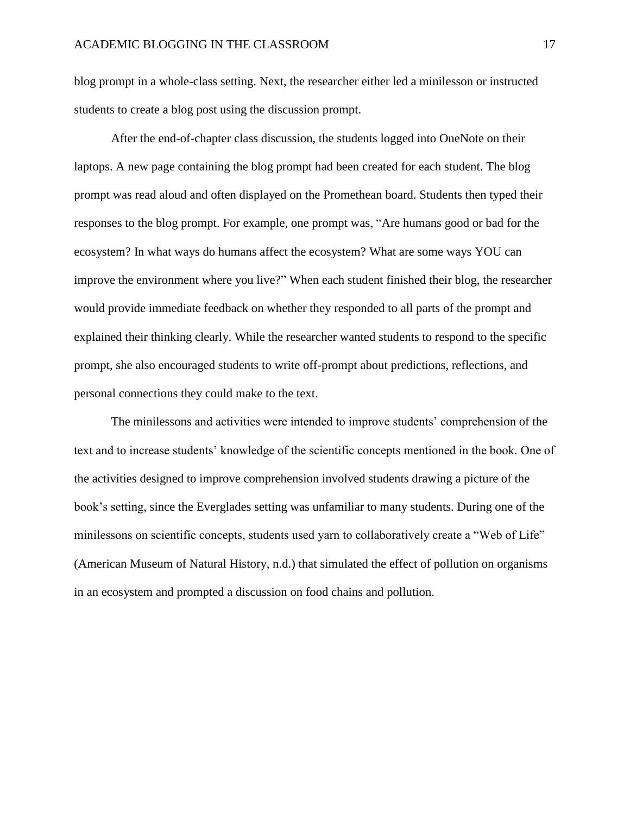blog prompt in a whole-class setting. Next, the researcher either led a minilesson or instructed students to create a blog post using the discussion prompt.

After the end-of-chapter class discussion, the students logged into OneNote on their laptops. A new page containing the blog prompt had been created for each student. The blog prompt was read aloud and often displayed on the Promethean board. Students then typed their responses to the blog prompt. For example, one prompt was, "Are humans good or bad for the ecosystem? In what ways do humans affect the ecosystem? What are some ways YOU can improve the environment where you live?" When each student finished their blog, the researcher would provide immediate feedback on whether they responded to all parts of the prompt and explained their thinking clearly. While the researcher wanted students to respond to the specific prompt, she also encouraged students to write off-prompt about predictions, reflections, and personal connections they could make to the text.

The minilessons and activities were intended to improve students' comprehension of the text and to increase students' knowledge of the scientific concepts mentioned in the book. One of the activities designed to improve comprehension involved students drawing a picture of the book's setting, since the Everglades setting was unfamiliar to many students. During one of the minilessons on scientific concepts, students used yarn to collaboratively create a "Web of Life" (American Museum of Natural History, n.d.) that simulated the effect of pollution on organisms in an ecosystem and prompted a discussion on food chains and pollution.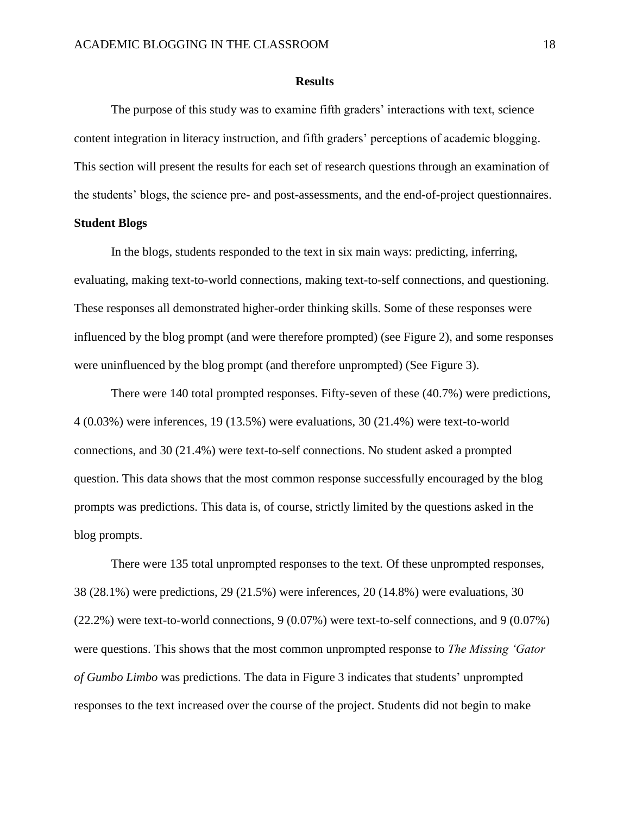#### **Results**

The purpose of this study was to examine fifth graders' interactions with text, science content integration in literacy instruction, and fifth graders' perceptions of academic blogging. This section will present the results for each set of research questions through an examination of the students' blogs, the science pre- and post-assessments, and the end-of-project questionnaires.

## **Student Blogs**

In the blogs, students responded to the text in six main ways: predicting, inferring, evaluating, making text-to-world connections, making text-to-self connections, and questioning. These responses all demonstrated higher-order thinking skills. Some of these responses were influenced by the blog prompt (and were therefore prompted) (see Figure 2), and some responses were uninfluenced by the blog prompt (and therefore unprompted) (See Figure 3).

There were 140 total prompted responses. Fifty-seven of these (40.7%) were predictions, 4 (0.03%) were inferences, 19 (13.5%) were evaluations, 30 (21.4%) were text-to-world connections, and 30 (21.4%) were text-to-self connections. No student asked a prompted question. This data shows that the most common response successfully encouraged by the blog prompts was predictions. This data is, of course, strictly limited by the questions asked in the blog prompts.

There were 135 total unprompted responses to the text. Of these unprompted responses, 38 (28.1%) were predictions, 29 (21.5%) were inferences, 20 (14.8%) were evaluations, 30 (22.2%) were text-to-world connections, 9 (0.07%) were text-to-self connections, and 9 (0.07%) were questions. This shows that the most common unprompted response to *The Missing 'Gator of Gumbo Limbo* was predictions. The data in Figure 3 indicates that students' unprompted responses to the text increased over the course of the project. Students did not begin to make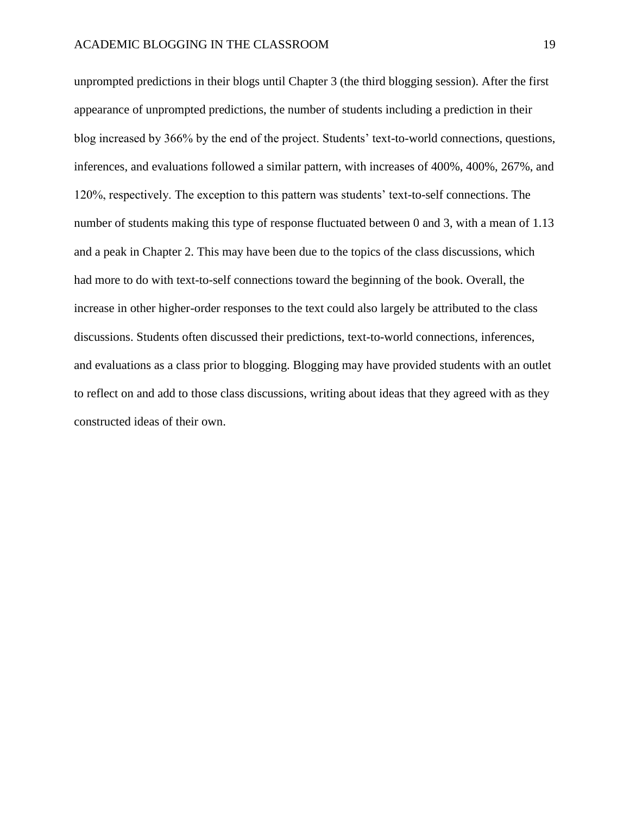unprompted predictions in their blogs until Chapter 3 (the third blogging session). After the first appearance of unprompted predictions, the number of students including a prediction in their blog increased by 366% by the end of the project. Students' text-to-world connections, questions, inferences, and evaluations followed a similar pattern, with increases of 400%, 400%, 267%, and 120%, respectively. The exception to this pattern was students' text-to-self connections. The number of students making this type of response fluctuated between 0 and 3, with a mean of 1.13 and a peak in Chapter 2. This may have been due to the topics of the class discussions, which had more to do with text-to-self connections toward the beginning of the book. Overall, the increase in other higher-order responses to the text could also largely be attributed to the class discussions. Students often discussed their predictions, text-to-world connections, inferences, and evaluations as a class prior to blogging. Blogging may have provided students with an outlet to reflect on and add to those class discussions, writing about ideas that they agreed with as they constructed ideas of their own.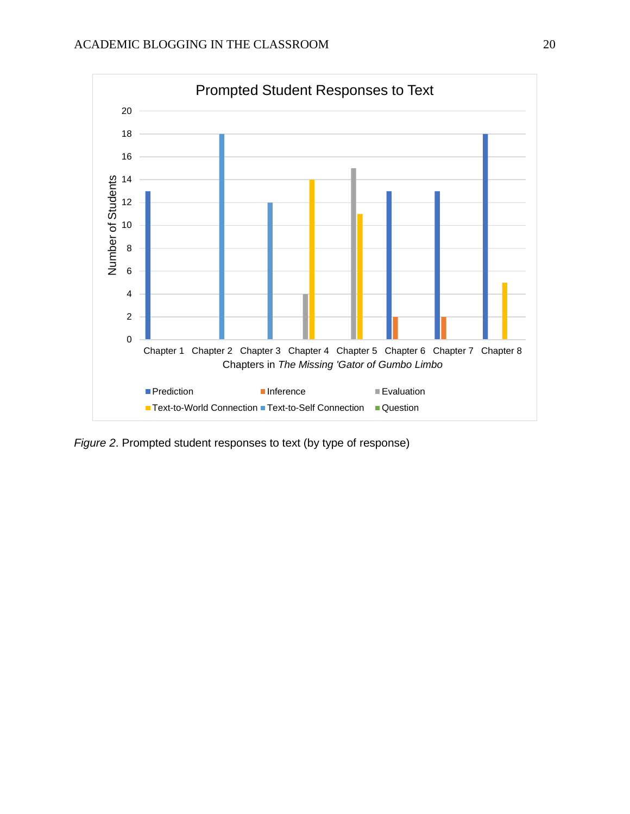

*Figure 2*. Prompted student responses to text (by type of response)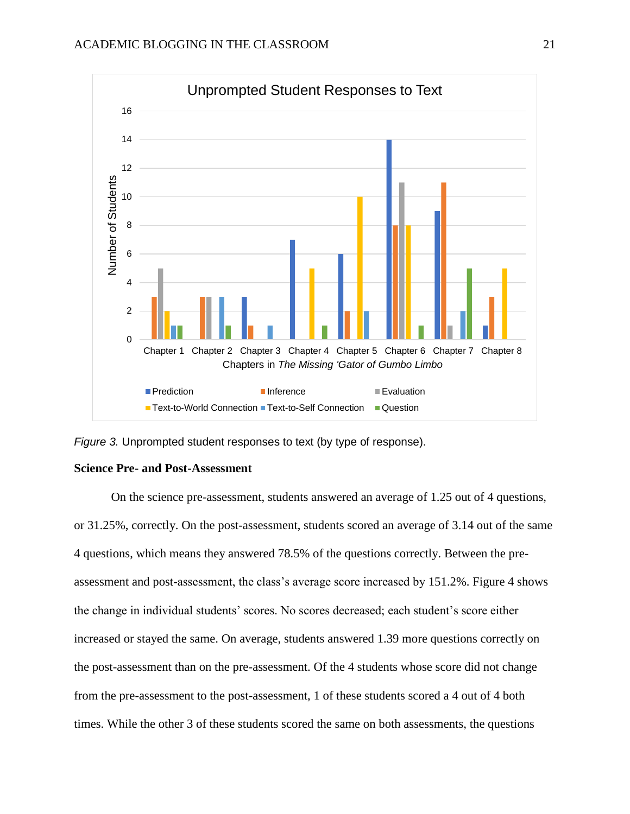

*Figure 3.* Unprompted student responses to text (by type of response).

#### **Science Pre- and Post-Assessment**

On the science pre-assessment, students answered an average of 1.25 out of 4 questions, or 31.25%, correctly. On the post-assessment, students scored an average of 3.14 out of the same 4 questions, which means they answered 78.5% of the questions correctly. Between the preassessment and post-assessment, the class's average score increased by 151.2%. Figure 4 shows the change in individual students' scores. No scores decreased; each student's score either increased or stayed the same. On average, students answered 1.39 more questions correctly on the post-assessment than on the pre-assessment. Of the 4 students whose score did not change from the pre-assessment to the post-assessment, 1 of these students scored a 4 out of 4 both times. While the other 3 of these students scored the same on both assessments, the questions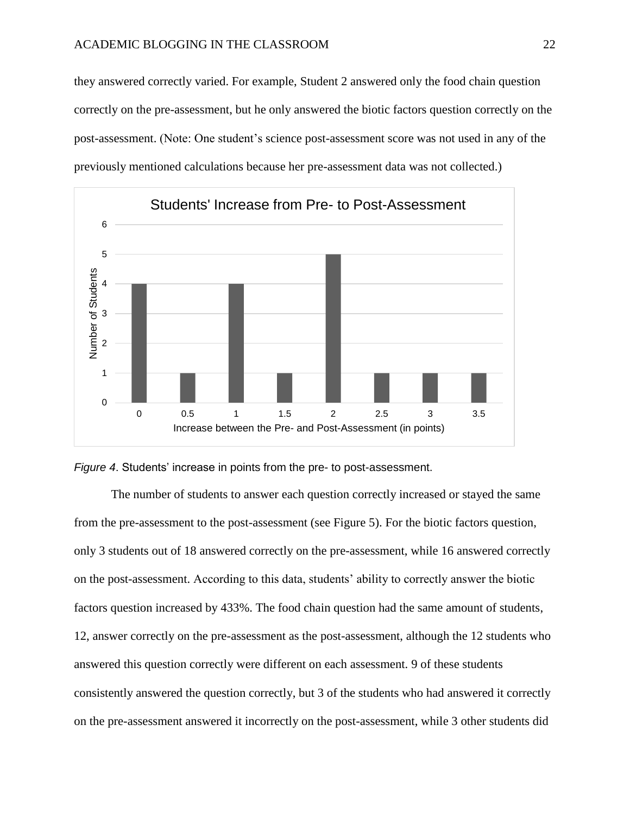they answered correctly varied. For example, Student 2 answered only the food chain question correctly on the pre-assessment, but he only answered the biotic factors question correctly on the post-assessment. (Note: One student's science post-assessment score was not used in any of the previously mentioned calculations because her pre-assessment data was not collected.)





The number of students to answer each question correctly increased or stayed the same from the pre-assessment to the post-assessment (see Figure 5). For the biotic factors question, only 3 students out of 18 answered correctly on the pre-assessment, while 16 answered correctly on the post-assessment. According to this data, students' ability to correctly answer the biotic factors question increased by 433%. The food chain question had the same amount of students, 12, answer correctly on the pre-assessment as the post-assessment, although the 12 students who answered this question correctly were different on each assessment. 9 of these students consistently answered the question correctly, but 3 of the students who had answered it correctly on the pre-assessment answered it incorrectly on the post-assessment, while 3 other students did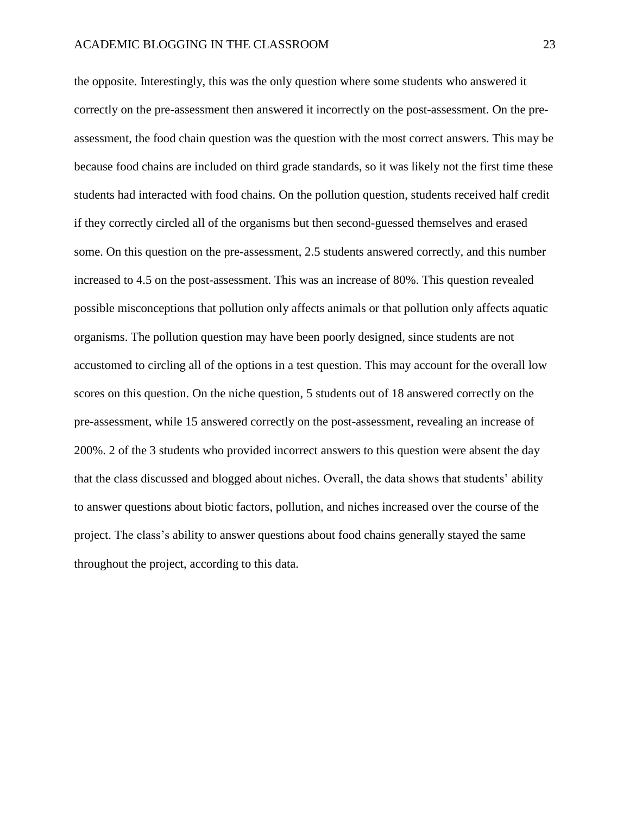the opposite. Interestingly, this was the only question where some students who answered it correctly on the pre-assessment then answered it incorrectly on the post-assessment. On the preassessment, the food chain question was the question with the most correct answers. This may be because food chains are included on third grade standards, so it was likely not the first time these students had interacted with food chains. On the pollution question, students received half credit if they correctly circled all of the organisms but then second-guessed themselves and erased some. On this question on the pre-assessment, 2.5 students answered correctly, and this number increased to 4.5 on the post-assessment. This was an increase of 80%. This question revealed possible misconceptions that pollution only affects animals or that pollution only affects aquatic organisms. The pollution question may have been poorly designed, since students are not accustomed to circling all of the options in a test question. This may account for the overall low scores on this question. On the niche question, 5 students out of 18 answered correctly on the pre-assessment, while 15 answered correctly on the post-assessment, revealing an increase of 200%. 2 of the 3 students who provided incorrect answers to this question were absent the day that the class discussed and blogged about niches. Overall, the data shows that students' ability to answer questions about biotic factors, pollution, and niches increased over the course of the project. The class's ability to answer questions about food chains generally stayed the same throughout the project, according to this data.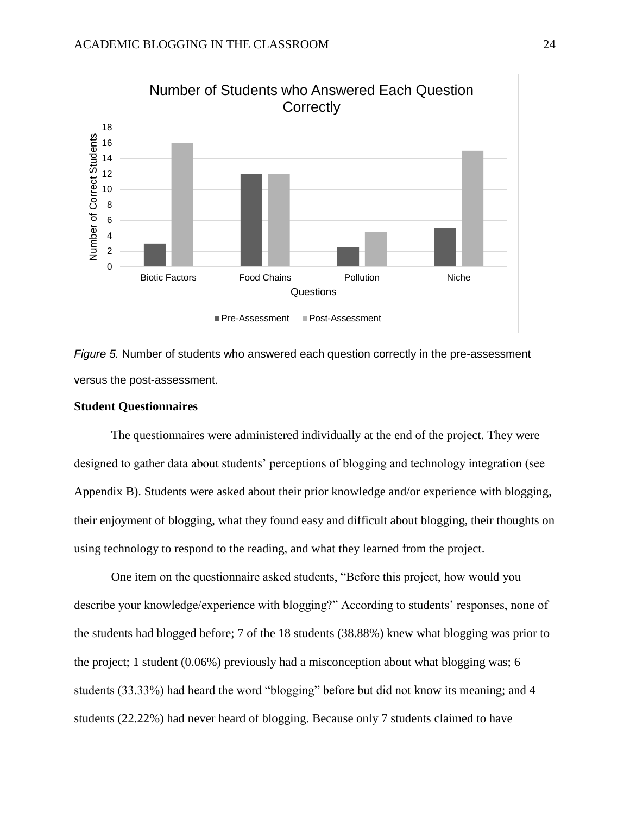

*Figure 5.* Number of students who answered each question correctly in the pre-assessment versus the post-assessment.

#### **Student Questionnaires**

The questionnaires were administered individually at the end of the project. They were designed to gather data about students' perceptions of blogging and technology integration (see Appendix B). Students were asked about their prior knowledge and/or experience with blogging, their enjoyment of blogging, what they found easy and difficult about blogging, their thoughts on using technology to respond to the reading, and what they learned from the project.

One item on the questionnaire asked students, "Before this project, how would you describe your knowledge/experience with blogging?" According to students' responses, none of the students had blogged before; 7 of the 18 students (38.88%) knew what blogging was prior to the project; 1 student (0.06%) previously had a misconception about what blogging was; 6 students (33.33%) had heard the word "blogging" before but did not know its meaning; and 4 students (22.22%) had never heard of blogging. Because only 7 students claimed to have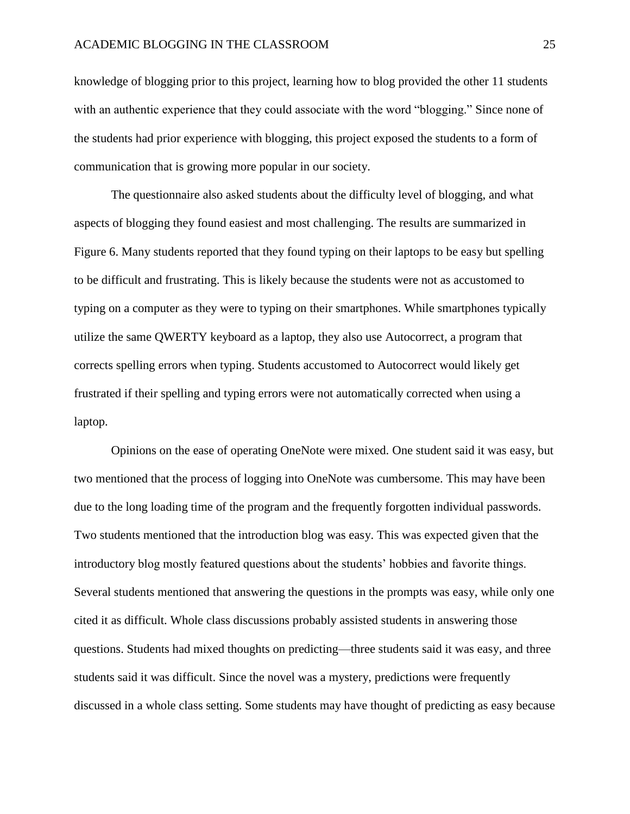knowledge of blogging prior to this project, learning how to blog provided the other 11 students with an authentic experience that they could associate with the word "blogging." Since none of the students had prior experience with blogging, this project exposed the students to a form of communication that is growing more popular in our society.

The questionnaire also asked students about the difficulty level of blogging, and what aspects of blogging they found easiest and most challenging. The results are summarized in Figure 6. Many students reported that they found typing on their laptops to be easy but spelling to be difficult and frustrating. This is likely because the students were not as accustomed to typing on a computer as they were to typing on their smartphones. While smartphones typically utilize the same QWERTY keyboard as a laptop, they also use Autocorrect, a program that corrects spelling errors when typing. Students accustomed to Autocorrect would likely get frustrated if their spelling and typing errors were not automatically corrected when using a laptop.

Opinions on the ease of operating OneNote were mixed. One student said it was easy, but two mentioned that the process of logging into OneNote was cumbersome. This may have been due to the long loading time of the program and the frequently forgotten individual passwords. Two students mentioned that the introduction blog was easy. This was expected given that the introductory blog mostly featured questions about the students' hobbies and favorite things. Several students mentioned that answering the questions in the prompts was easy, while only one cited it as difficult. Whole class discussions probably assisted students in answering those questions. Students had mixed thoughts on predicting—three students said it was easy, and three students said it was difficult. Since the novel was a mystery, predictions were frequently discussed in a whole class setting. Some students may have thought of predicting as easy because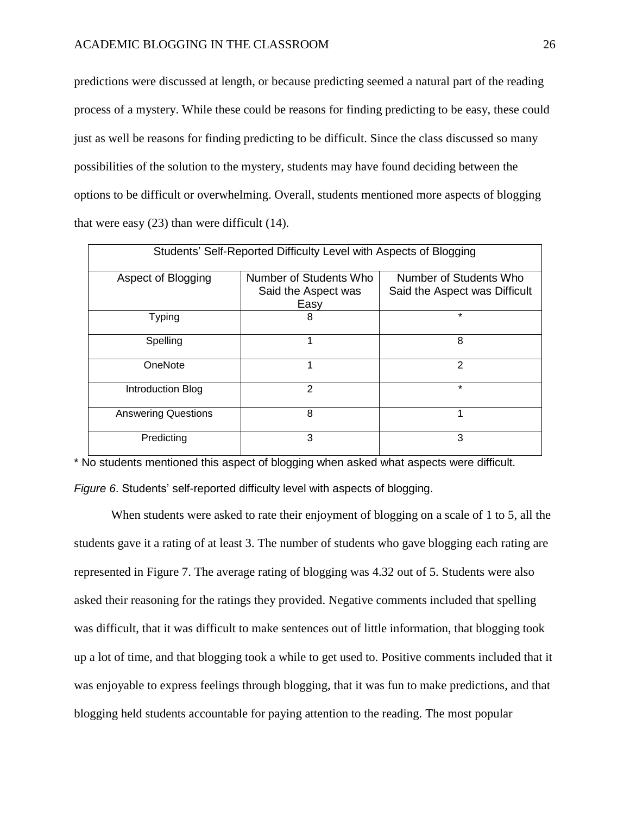predictions were discussed at length, or because predicting seemed a natural part of the reading process of a mystery. While these could be reasons for finding predicting to be easy, these could just as well be reasons for finding predicting to be difficult. Since the class discussed so many possibilities of the solution to the mystery, students may have found deciding between the options to be difficult or overwhelming. Overall, students mentioned more aspects of blogging that were easy (23) than were difficult (14).

| Students' Self-Reported Difficulty Level with Aspects of Blogging |                                                       |                                                         |  |  |  |
|-------------------------------------------------------------------|-------------------------------------------------------|---------------------------------------------------------|--|--|--|
| Aspect of Blogging                                                | Number of Students Who<br>Said the Aspect was<br>Easy | Number of Students Who<br>Said the Aspect was Difficult |  |  |  |
| <b>Typing</b>                                                     | 8                                                     | $\star$                                                 |  |  |  |
| Spelling                                                          | 1                                                     | 8                                                       |  |  |  |
| OneNote                                                           | 1                                                     | $\mathfrak{p}$                                          |  |  |  |
| Introduction Blog                                                 | $\overline{2}$                                        | $\star$                                                 |  |  |  |
| <b>Answering Questions</b>                                        | 8                                                     | 1                                                       |  |  |  |
| Predicting                                                        | 3                                                     | 3                                                       |  |  |  |

\* No students mentioned this aspect of blogging when asked what aspects were difficult. *Figure 6*. Students' self-reported difficulty level with aspects of blogging.

When students were asked to rate their enjoyment of blogging on a scale of 1 to 5, all the students gave it a rating of at least 3. The number of students who gave blogging each rating are represented in Figure 7. The average rating of blogging was 4.32 out of 5. Students were also asked their reasoning for the ratings they provided. Negative comments included that spelling was difficult, that it was difficult to make sentences out of little information, that blogging took up a lot of time, and that blogging took a while to get used to. Positive comments included that it was enjoyable to express feelings through blogging, that it was fun to make predictions, and that blogging held students accountable for paying attention to the reading. The most popular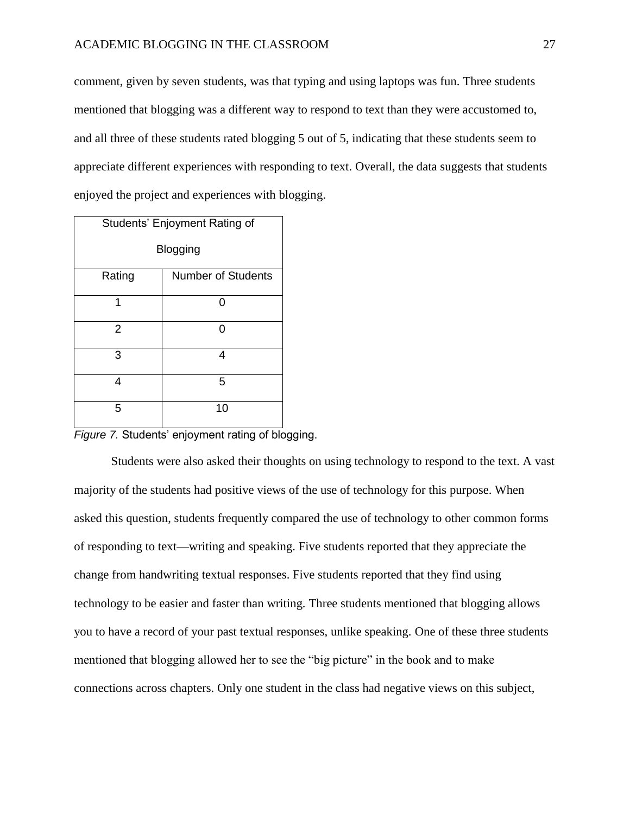#### ACADEMIC BLOGGING IN THE CLASSROOM 27

comment, given by seven students, was that typing and using laptops was fun. Three students mentioned that blogging was a different way to respond to text than they were accustomed to, and all three of these students rated blogging 5 out of 5, indicating that these students seem to appreciate different experiences with responding to text. Overall, the data suggests that students enjoyed the project and experiences with blogging.

| Students' Enjoyment Rating of       |    |  |  |  |
|-------------------------------------|----|--|--|--|
| Blogging                            |    |  |  |  |
| <b>Number of Students</b><br>Rating |    |  |  |  |
| 1                                   | ŋ  |  |  |  |
| $\overline{2}$                      | ი  |  |  |  |
| 3                                   | 4  |  |  |  |
| 4                                   | 5  |  |  |  |
| 5                                   | 10 |  |  |  |

*Figure 7.* Students' enjoyment rating of blogging.

Students were also asked their thoughts on using technology to respond to the text. A vast majority of the students had positive views of the use of technology for this purpose. When asked this question, students frequently compared the use of technology to other common forms of responding to text—writing and speaking. Five students reported that they appreciate the change from handwriting textual responses. Five students reported that they find using technology to be easier and faster than writing. Three students mentioned that blogging allows you to have a record of your past textual responses, unlike speaking. One of these three students mentioned that blogging allowed her to see the "big picture" in the book and to make connections across chapters. Only one student in the class had negative views on this subject,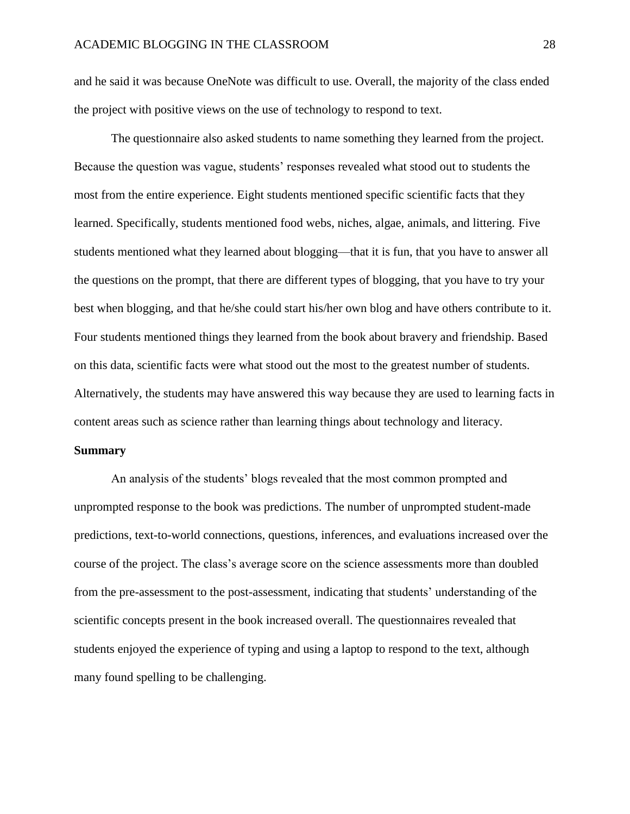and he said it was because OneNote was difficult to use. Overall, the majority of the class ended the project with positive views on the use of technology to respond to text.

The questionnaire also asked students to name something they learned from the project. Because the question was vague, students' responses revealed what stood out to students the most from the entire experience. Eight students mentioned specific scientific facts that they learned. Specifically, students mentioned food webs, niches, algae, animals, and littering. Five students mentioned what they learned about blogging—that it is fun, that you have to answer all the questions on the prompt, that there are different types of blogging, that you have to try your best when blogging, and that he/she could start his/her own blog and have others contribute to it. Four students mentioned things they learned from the book about bravery and friendship. Based on this data, scientific facts were what stood out the most to the greatest number of students. Alternatively, the students may have answered this way because they are used to learning facts in content areas such as science rather than learning things about technology and literacy.

#### **Summary**

An analysis of the students' blogs revealed that the most common prompted and unprompted response to the book was predictions. The number of unprompted student-made predictions, text-to-world connections, questions, inferences, and evaluations increased over the course of the project. The class's average score on the science assessments more than doubled from the pre-assessment to the post-assessment, indicating that students' understanding of the scientific concepts present in the book increased overall. The questionnaires revealed that students enjoyed the experience of typing and using a laptop to respond to the text, although many found spelling to be challenging.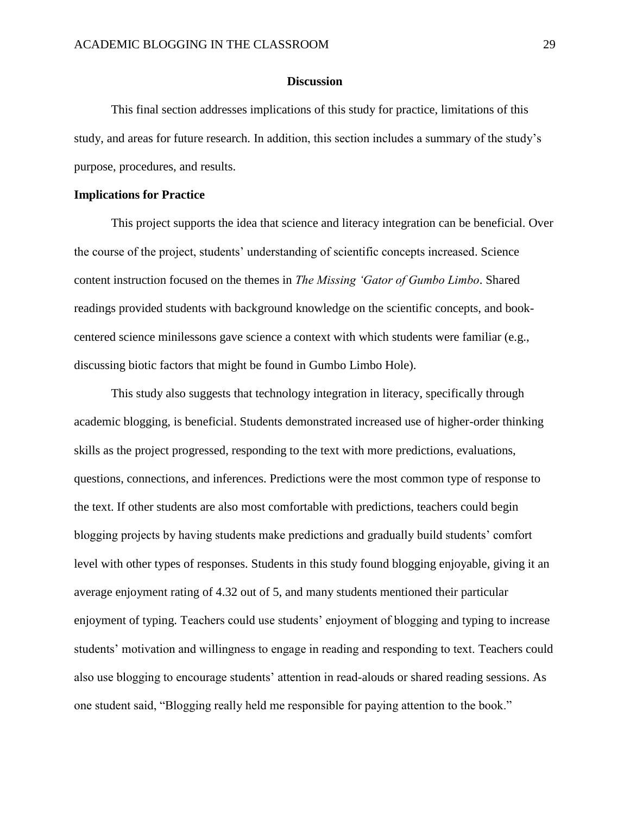#### **Discussion**

This final section addresses implications of this study for practice, limitations of this study, and areas for future research. In addition, this section includes a summary of the study's purpose, procedures, and results.

#### **Implications for Practice**

This project supports the idea that science and literacy integration can be beneficial. Over the course of the project, students' understanding of scientific concepts increased. Science content instruction focused on the themes in *The Missing 'Gator of Gumbo Limbo*. Shared readings provided students with background knowledge on the scientific concepts, and bookcentered science minilessons gave science a context with which students were familiar (e.g., discussing biotic factors that might be found in Gumbo Limbo Hole).

This study also suggests that technology integration in literacy, specifically through academic blogging, is beneficial. Students demonstrated increased use of higher-order thinking skills as the project progressed, responding to the text with more predictions, evaluations, questions, connections, and inferences. Predictions were the most common type of response to the text. If other students are also most comfortable with predictions, teachers could begin blogging projects by having students make predictions and gradually build students' comfort level with other types of responses. Students in this study found blogging enjoyable, giving it an average enjoyment rating of 4.32 out of 5, and many students mentioned their particular enjoyment of typing. Teachers could use students' enjoyment of blogging and typing to increase students' motivation and willingness to engage in reading and responding to text. Teachers could also use blogging to encourage students' attention in read-alouds or shared reading sessions. As one student said, "Blogging really held me responsible for paying attention to the book."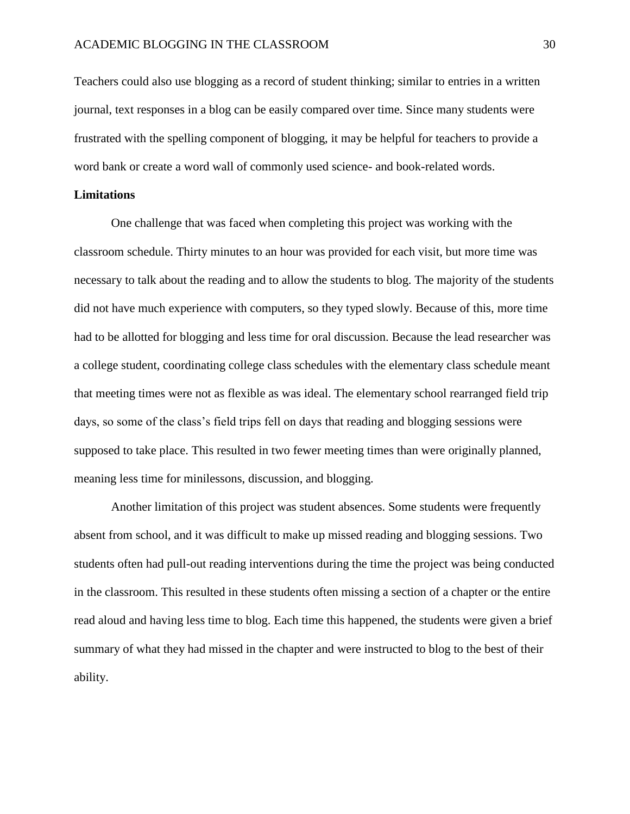Teachers could also use blogging as a record of student thinking; similar to entries in a written journal, text responses in a blog can be easily compared over time. Since many students were frustrated with the spelling component of blogging, it may be helpful for teachers to provide a word bank or create a word wall of commonly used science- and book-related words.

#### **Limitations**

One challenge that was faced when completing this project was working with the classroom schedule. Thirty minutes to an hour was provided for each visit, but more time was necessary to talk about the reading and to allow the students to blog. The majority of the students did not have much experience with computers, so they typed slowly. Because of this, more time had to be allotted for blogging and less time for oral discussion. Because the lead researcher was a college student, coordinating college class schedules with the elementary class schedule meant that meeting times were not as flexible as was ideal. The elementary school rearranged field trip days, so some of the class's field trips fell on days that reading and blogging sessions were supposed to take place. This resulted in two fewer meeting times than were originally planned, meaning less time for minilessons, discussion, and blogging.

Another limitation of this project was student absences. Some students were frequently absent from school, and it was difficult to make up missed reading and blogging sessions. Two students often had pull-out reading interventions during the time the project was being conducted in the classroom. This resulted in these students often missing a section of a chapter or the entire read aloud and having less time to blog. Each time this happened, the students were given a brief summary of what they had missed in the chapter and were instructed to blog to the best of their ability.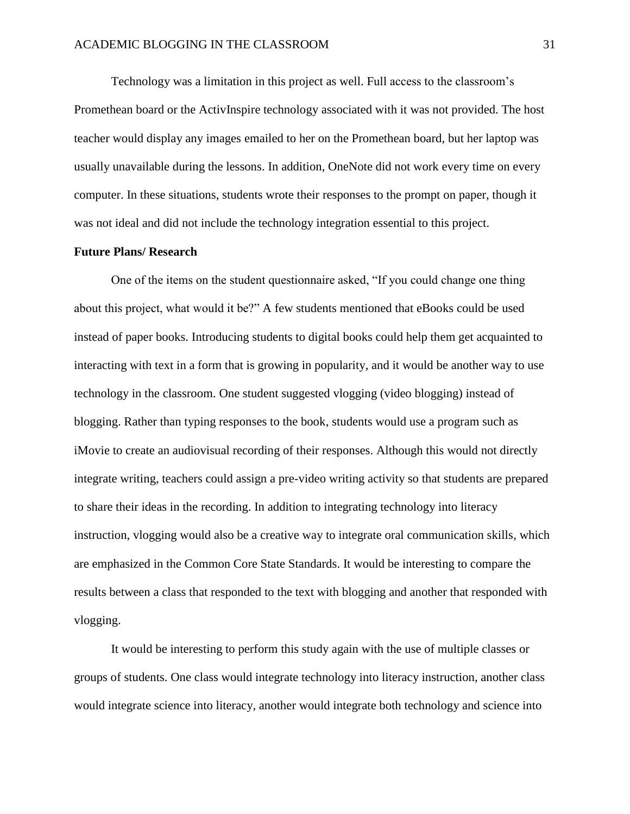Technology was a limitation in this project as well. Full access to the classroom's Promethean board or the ActivInspire technology associated with it was not provided. The host teacher would display any images emailed to her on the Promethean board, but her laptop was usually unavailable during the lessons. In addition, OneNote did not work every time on every computer. In these situations, students wrote their responses to the prompt on paper, though it was not ideal and did not include the technology integration essential to this project.

#### **Future Plans/ Research**

One of the items on the student questionnaire asked, "If you could change one thing about this project, what would it be?" A few students mentioned that eBooks could be used instead of paper books. Introducing students to digital books could help them get acquainted to interacting with text in a form that is growing in popularity, and it would be another way to use technology in the classroom. One student suggested vlogging (video blogging) instead of blogging. Rather than typing responses to the book, students would use a program such as iMovie to create an audiovisual recording of their responses. Although this would not directly integrate writing, teachers could assign a pre-video writing activity so that students are prepared to share their ideas in the recording. In addition to integrating technology into literacy instruction, vlogging would also be a creative way to integrate oral communication skills, which are emphasized in the Common Core State Standards. It would be interesting to compare the results between a class that responded to the text with blogging and another that responded with vlogging.

It would be interesting to perform this study again with the use of multiple classes or groups of students. One class would integrate technology into literacy instruction, another class would integrate science into literacy, another would integrate both technology and science into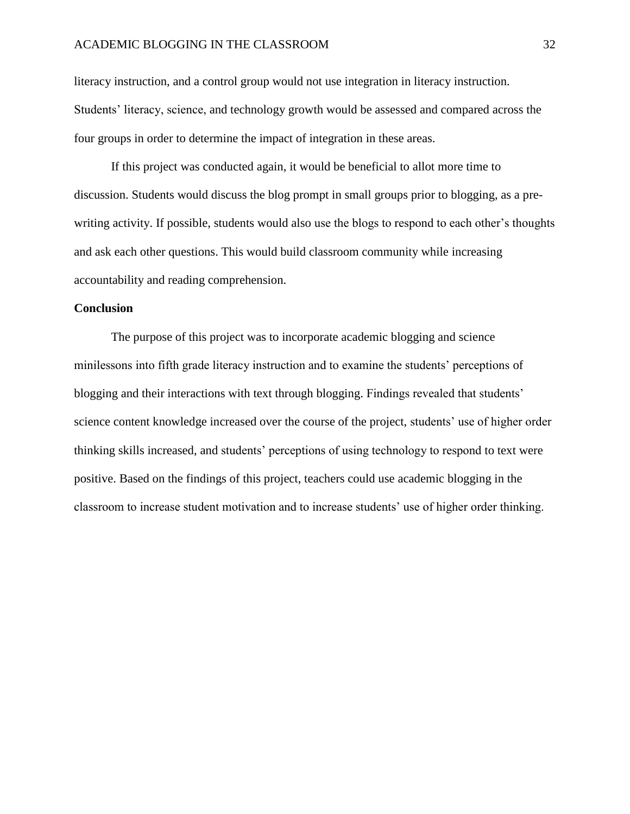#### ACADEMIC BLOGGING IN THE CLASSROOM 32

literacy instruction, and a control group would not use integration in literacy instruction. Students' literacy, science, and technology growth would be assessed and compared across the four groups in order to determine the impact of integration in these areas.

If this project was conducted again, it would be beneficial to allot more time to discussion. Students would discuss the blog prompt in small groups prior to blogging, as a prewriting activity. If possible, students would also use the blogs to respond to each other's thoughts and ask each other questions. This would build classroom community while increasing accountability and reading comprehension.

#### **Conclusion**

The purpose of this project was to incorporate academic blogging and science minilessons into fifth grade literacy instruction and to examine the students' perceptions of blogging and their interactions with text through blogging. Findings revealed that students' science content knowledge increased over the course of the project, students' use of higher order thinking skills increased, and students' perceptions of using technology to respond to text were positive. Based on the findings of this project, teachers could use academic blogging in the classroom to increase student motivation and to increase students' use of higher order thinking.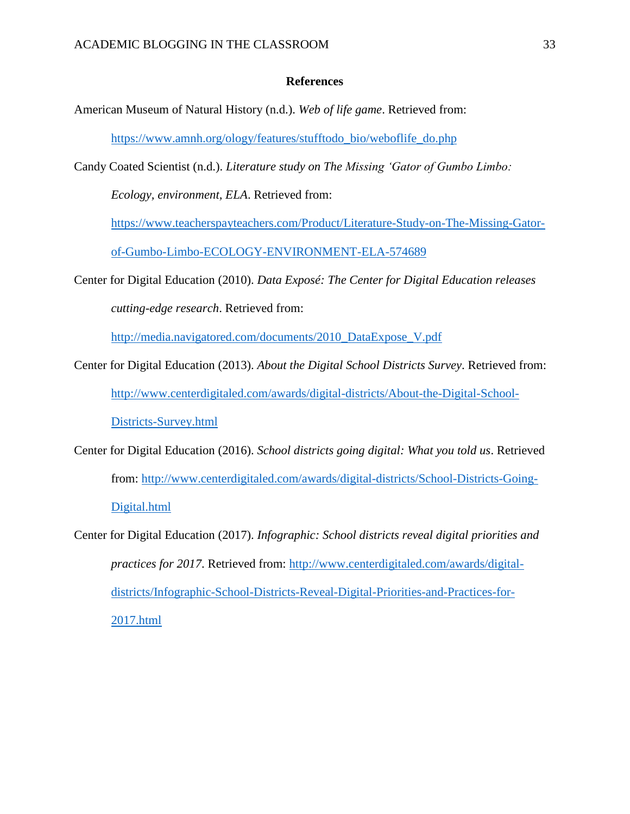#### **References**

American Museum of Natural History (n.d.). *Web of life game*. Retrieved from:

[https://www.amnh.org/ology/features/stufftodo\\_bio/weboflife\\_do.php](https://www.amnh.org/ology/features/stufftodo_bio/weboflife_do.php)

Candy Coated Scientist (n.d.). *Literature study on The Missing 'Gator of Gumbo Limbo:* 

*Ecology, environment, ELA*. Retrieved from:

[https://www.teacherspayteachers.com/Product/Literature-Study-on-The-Missing-Gator-](https://www.teacherspayteachers.com/Product/Literature-Study-on-The-Missing-Gator-of-Gumbo-Limbo-ECOLOGY-ENVIRONMENT-ELA-574689)

[of-Gumbo-Limbo-ECOLOGY-ENVIRONMENT-ELA-574689](https://www.teacherspayteachers.com/Product/Literature-Study-on-The-Missing-Gator-of-Gumbo-Limbo-ECOLOGY-ENVIRONMENT-ELA-574689)

Center for Digital Education (2010). *Data Exposé: The Center for Digital Education releases cutting-edge research*. Retrieved from:

[http://media.navigatored.com/documents/2010\\_DataExpose\\_V.pdf](http://media.navigatored.com/documents/2010_DataExpose_V.pdf)

- Center for Digital Education (2013). *About the Digital School Districts Survey*. Retrieved from: [http://www.centerdigitaled.com/awards/digital-districts/About-the-Digital-School-](http://www.centerdigitaled.com/awards/digital-districts/About-the-Digital-School-Districts-Survey.html)[Districts-Survey.html](http://www.centerdigitaled.com/awards/digital-districts/About-the-Digital-School-Districts-Survey.html)
- Center for Digital Education (2016). *School districts going digital: What you told us*. Retrieved from: [http://www.centerdigitaled.com/awards/digital-districts/School-Districts-Going-](http://www.centerdigitaled.com/awards/digital-districts/School-Districts-Going-Digital.html)[Digital.html](http://www.centerdigitaled.com/awards/digital-districts/School-Districts-Going-Digital.html)
- Center for Digital Education (2017). *Infographic: School districts reveal digital priorities and practices for 2017*. Retrieved from: [http://www.centerdigitaled.com/awards/digital](http://www.centerdigitaled.com/awards/digital-districts/Infographic-School-Districts-Reveal-Digital-Priorities-and-Practices-for-2017.html)[districts/Infographic-School-Districts-Reveal-Digital-Priorities-and-Practices-for-](http://www.centerdigitaled.com/awards/digital-districts/Infographic-School-Districts-Reveal-Digital-Priorities-and-Practices-for-2017.html)[2017.html](http://www.centerdigitaled.com/awards/digital-districts/Infographic-School-Districts-Reveal-Digital-Priorities-and-Practices-for-2017.html)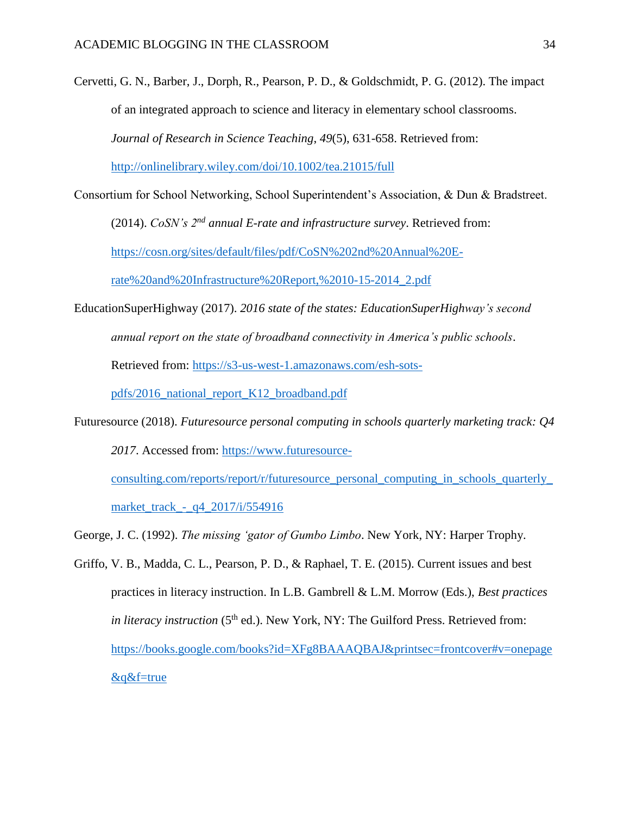Cervetti, G. N., Barber, J., Dorph, R., Pearson, P. D., & Goldschmidt, P. G. (2012). The impact of an integrated approach to science and literacy in elementary school classrooms. *Journal of Research in Science Teaching*, *49*(5), 631-658. Retrieved from: <http://onlinelibrary.wiley.com/doi/10.1002/tea.21015/full>

Consortium for School Networking, School Superintendent's Association, & Dun & Bradstreet.

(2014). *CoSN's 2nd annual E-rate and infrastructure survey*. Retrieved from:

[https://cosn.org/sites/default/files/pdf/CoSN%202nd%20Annual%20E-](https://cosn.org/sites/default/files/pdf/CoSN%202nd%20Annual%20E-rate%20and%20Infrastructure%20Report,%2010-15-2014_2.pdf)

[rate%20and%20Infrastructure%20Report,%2010-15-2014\\_2.pdf](https://cosn.org/sites/default/files/pdf/CoSN%202nd%20Annual%20E-rate%20and%20Infrastructure%20Report,%2010-15-2014_2.pdf)

EducationSuperHighway (2017). *2016 state of the states: EducationSuperHighway's second annual report on the state of broadband connectivity in America's public schools*.

Retrieved from: [https://s3-us-west-1.amazonaws.com/esh-sots-](https://s3-us-west-1.amazonaws.com/esh-sots-pdfs/2016_national_report_K12_broadband.pdf)

[pdfs/2016\\_national\\_report\\_K12\\_broadband.pdf](https://s3-us-west-1.amazonaws.com/esh-sots-pdfs/2016_national_report_K12_broadband.pdf)

Futuresource (2018). *Futuresource personal computing in schools quarterly marketing track: Q4 2017*. Accessed from: [https://www.futuresource-](https://www.futuresource-consulting.com/reports/report/r/futuresource_personal_computing_in_schools_quarterly_market_track_-_q4_2017/i/554916)

[consulting.com/reports/report/r/futuresource\\_personal\\_computing\\_in\\_schools\\_quarterly\\_](https://www.futuresource-consulting.com/reports/report/r/futuresource_personal_computing_in_schools_quarterly_market_track_-_q4_2017/i/554916) market track - q4 2017/i/554916

George, J. C. (1992). *The missing 'gator of Gumbo Limbo*. New York, NY: Harper Trophy.

Griffo, V. B., Madda, C. L., Pearson, P. D., & Raphael, T. E. (2015). Current issues and best practices in literacy instruction. In L.B. Gambrell & L.M. Morrow (Eds.), *Best practices in literacy instruction* ( $5<sup>th</sup>$  ed.). New York, NY: The Guilford Press. Retrieved from: [https://books.google.com/books?id=XFg8BAAAQBAJ&printsec=frontcover#v=onepage](https://books.google.com/books?id=XFg8BAAAQBAJ&printsec=frontcover#v=onepage&q&f=true) [&q&f=true](https://books.google.com/books?id=XFg8BAAAQBAJ&printsec=frontcover#v=onepage&q&f=true)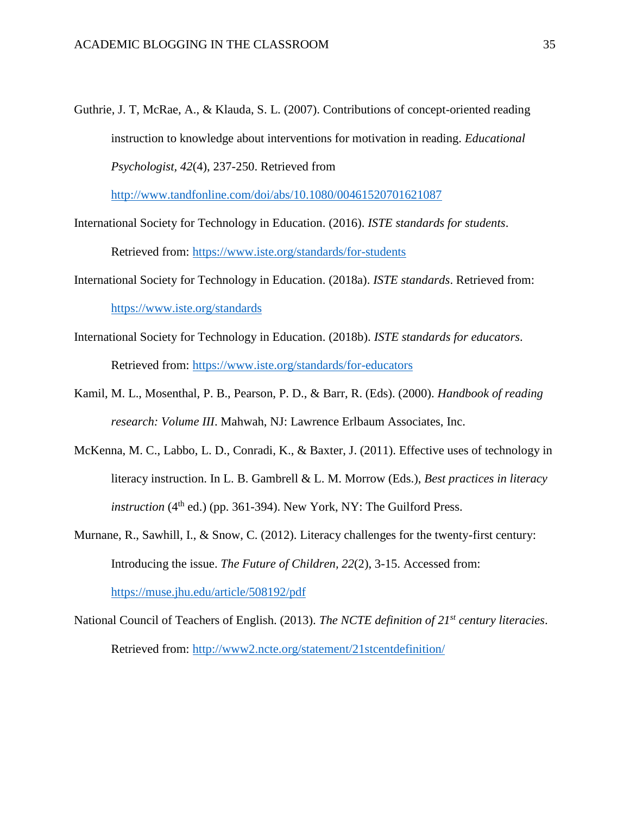Guthrie, J. T, McRae, A., & Klauda, S. L. (2007). Contributions of concept-oriented reading instruction to knowledge about interventions for motivation in reading. *Educational Psychologist, 42*(4), 237-250. Retrieved from

<http://www.tandfonline.com/doi/abs/10.1080/00461520701621087>

International Society for Technology in Education. (2016). *ISTE standards for students*.

Retrieved from:<https://www.iste.org/standards/for-students>

- International Society for Technology in Education. (2018a). *ISTE standards*. Retrieved from: <https://www.iste.org/standards>
- International Society for Technology in Education. (2018b). *ISTE standards for educators*. Retrieved from:<https://www.iste.org/standards/for-educators>
- Kamil, M. L., Mosenthal, P. B., Pearson, P. D., & Barr, R. (Eds). (2000). *Handbook of reading research: Volume III*. Mahwah, NJ: Lawrence Erlbaum Associates, Inc.
- McKenna, M. C., Labbo, L. D., Conradi, K., & Baxter, J. (2011). Effective uses of technology in literacy instruction. In L. B. Gambrell & L. M. Morrow (Eds.), *Best practices in literacy*   $instruction$  ( $4<sup>th</sup>$  ed.) (pp. 361-394). New York, NY: The Guilford Press.
- Murnane, R., Sawhill, I., & Snow, C. (2012). Literacy challenges for the twenty-first century: Introducing the issue. *The Future of Children, 22*(2), 3-15. Accessed from: <https://muse.jhu.edu/article/508192/pdf>
- National Council of Teachers of English. (2013). *The NCTE definition of 21st century literacies*. Retrieved from:<http://www2.ncte.org/statement/21stcentdefinition/>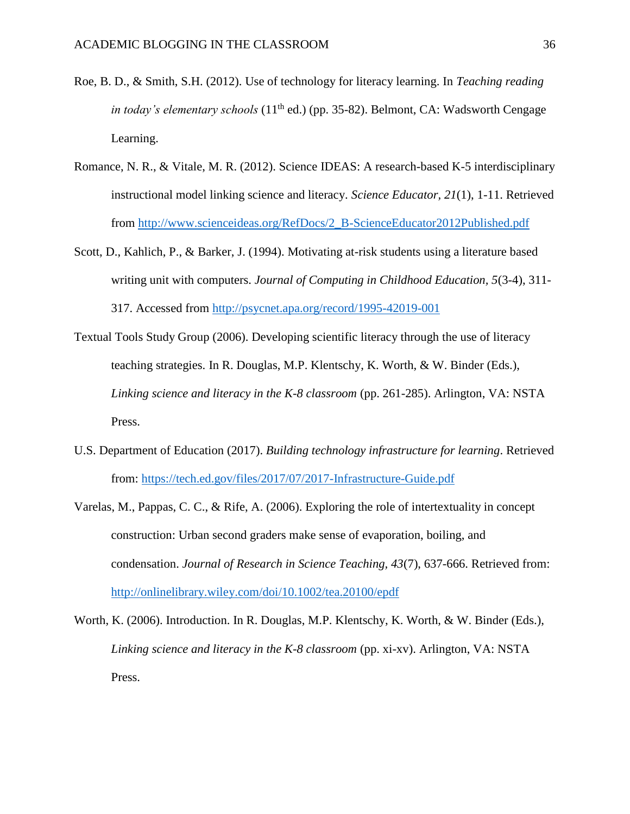- Roe, B. D., & Smith, S.H. (2012). Use of technology for literacy learning. In *Teaching reading in today's elementary schools* (11<sup>th</sup> ed.) (pp. 35-82). Belmont, CA: Wadsworth Cengage Learning.
- Romance, N. R., & Vitale, M. R. (2012). Science IDEAS: A research-based K-5 interdisciplinary instructional model linking science and literacy. *Science Educator, 21*(1), 1-11. Retrieved from [http://www.scienceideas.org/RefDocs/2\\_B-ScienceEducator2012Published.pdf](http://www.scienceideas.org/RefDocs/2_B-ScienceEducator2012Published.pdf)
- Scott, D., Kahlich, P., & Barker, J. (1994). Motivating at-risk students using a literature based writing unit with computers. *Journal of Computing in Childhood Education, 5*(3-4), 311- 317. Accessed from<http://psycnet.apa.org/record/1995-42019-001>
- Textual Tools Study Group (2006). Developing scientific literacy through the use of literacy teaching strategies. In R. Douglas, M.P. Klentschy, K. Worth, & W. Binder (Eds.), *Linking science and literacy in the K-8 classroom* (pp. 261-285). Arlington, VA: NSTA Press.
- U.S. Department of Education (2017). *Building technology infrastructure for learning*. Retrieved from:<https://tech.ed.gov/files/2017/07/2017-Infrastructure-Guide.pdf>
- Varelas, M., Pappas, C. C., & Rife, A. (2006). Exploring the role of intertextuality in concept construction: Urban second graders make sense of evaporation, boiling, and condensation. *Journal of Research in Science Teaching, 43*(7), 637-666. Retrieved from: <http://onlinelibrary.wiley.com/doi/10.1002/tea.20100/epdf>
- Worth, K. (2006). Introduction. In R. Douglas, M.P. Klentschy, K. Worth, & W. Binder (Eds.), *Linking science and literacy in the K-8 classroom* (pp. xi-xv). Arlington, VA: NSTA Press.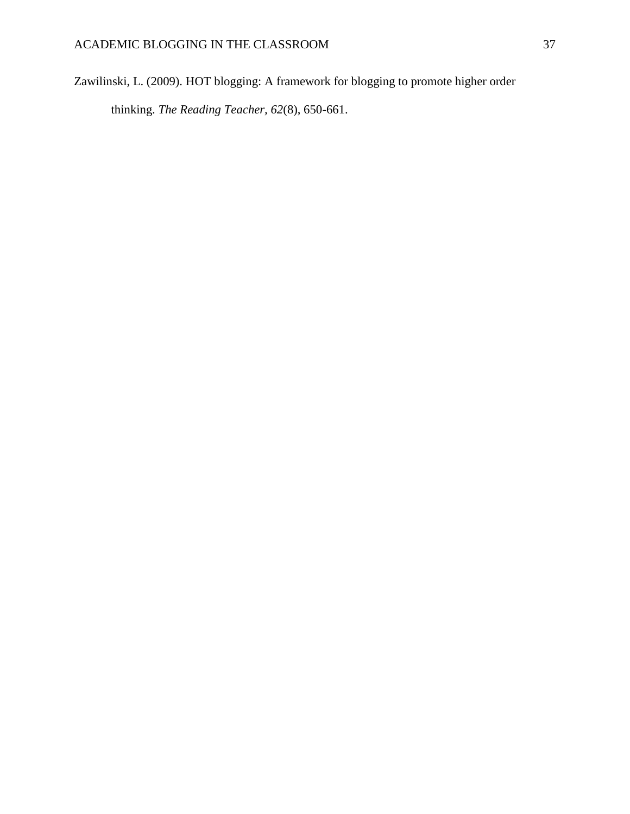Zawilinski, L. (2009). HOT blogging: A framework for blogging to promote higher order thinking. *The Reading Teacher, 62*(8), 650-661.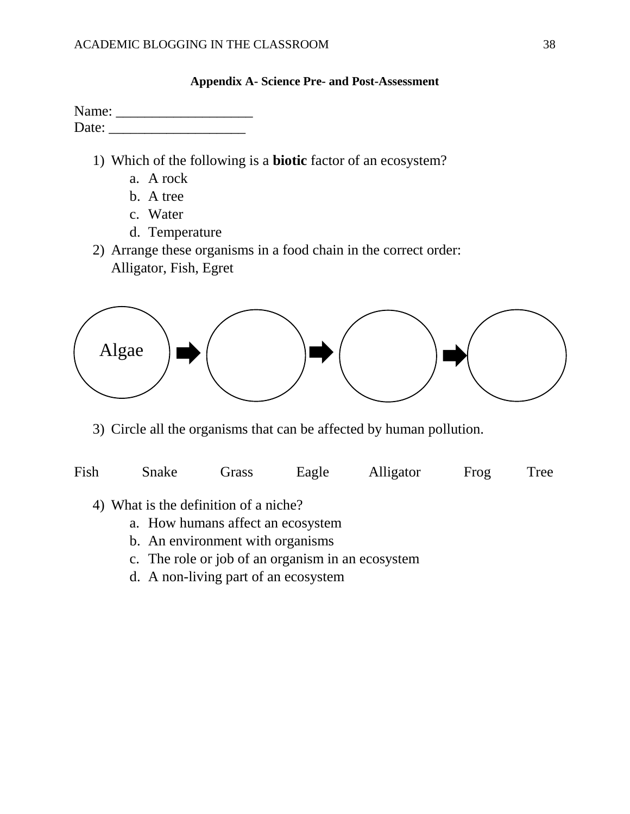|       | <b>Appendix A-Science Pre- and Post-Assessment</b> |
|-------|----------------------------------------------------|
| Name: |                                                    |
| Date: |                                                    |
|       |                                                    |

- 1) Which of the following is a **biotic** factor of an ecosystem?
	- a. A rock
	- b. A tree
	- c. Water
	- d. Temperature
- 2) Arrange these organisms in a food chain in the correct order: Alligator, Fish, Egret



3) Circle all the organisms that can be affected by human pollution.

| Fish | Snake | Grass | Eagle | Alligator | Frog | <b>Tree</b> |
|------|-------|-------|-------|-----------|------|-------------|
|      |       |       |       |           |      |             |

- 4) What is the definition of a niche?
	- a. How humans affect an ecosystem
	- b. An environment with organisms
	- c. The role or job of an organism in an ecosystem
	- d. A non-living part of an ecosystem